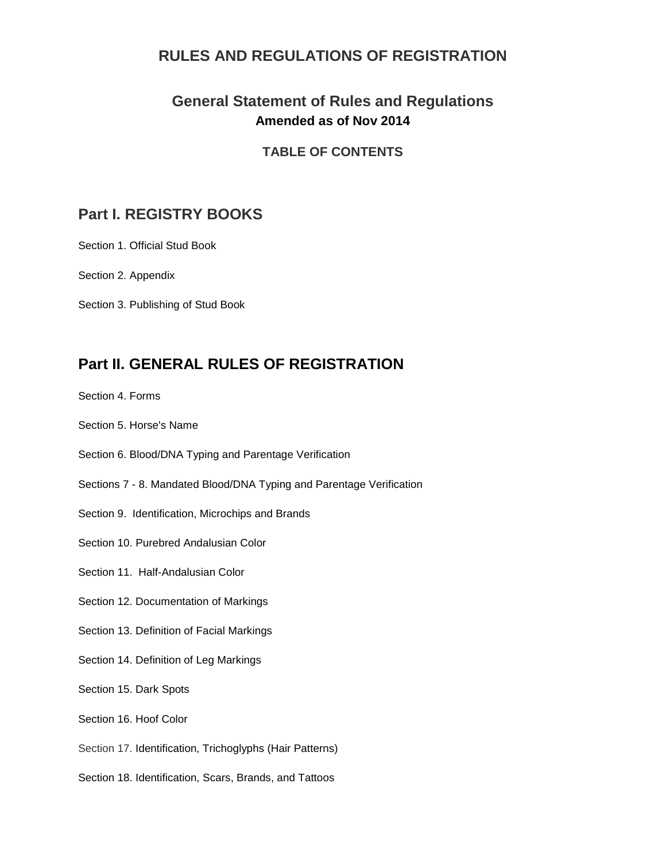#### **RULES AND REGULATIONS OF REGISTRATION**

#### **General Statement of Rules and Regulations Amended as of Nov 2014**

#### **TABLE OF CONTENTS**

#### **Part I. REGISTRY BOOKS**

[Section 1.](http://www.ialha.org/cms/index.php?option=com_content&task=view&id=74&Itemid=165#s1#s1) Official Stud Book

[Section 2.](http://www.ialha.org/cms/index.php?option=com_content&task=view&id=74&Itemid=165#s2#s2) Appendix

[Section 3.](http://www.ialha.org/cms/index.php?option=com_content&task=view&id=74&Itemid=165#s3#s3) Publishing of Stud Book

### **Part II. GENERAL RULES OF REGISTRATION**

- [Section 4.](http://www.ialha.org/cms/index.php?option=com_content&task=view&id=74&Itemid=165#s4#s4) Forms
- [Section 5.](http://www.ialha.org/cms/index.php?option=com_content&task=view&id=74&Itemid=165#s5#s5) Horse's Name
- [Section 6.](http://www.ialha.org/cms/index.php?option=com_content&task=view&id=74&Itemid=165#s6#s6) Blood/DNA Typing and Parentage Verification
- [Sections 7 -](http://www.ialha.org/cms/index.php?option=com_content&task=view&id=74&Itemid=165#s7#s7) 8. Mandated Blood/DNA Typing and Parentage Verification
- [Section 9.](http://www.ialha.org/cms/index.php?option=com_content&task=view&id=74&Itemid=165#s9#s9) Identification, Microchips and Brands
- Section 10. Purebred Andalusian Color
- Section 11. Half-Andalusian Color
- Section 12. Documentation of Markings
- Section 13. Definition of Facial Markings
- Section 14. Definition of Leg Markings
- Section 15. Dark Spots
- Section 16. Hoof Color
- Section 17. Identification, Trichoglyphs (Hair Patterns)
- [Section 18.](http://www.ialha.org/cms/index.php?option=com_content&task=view&id=74&Itemid=165#s18#s18) Identification, Scars, Brands, and Tattoos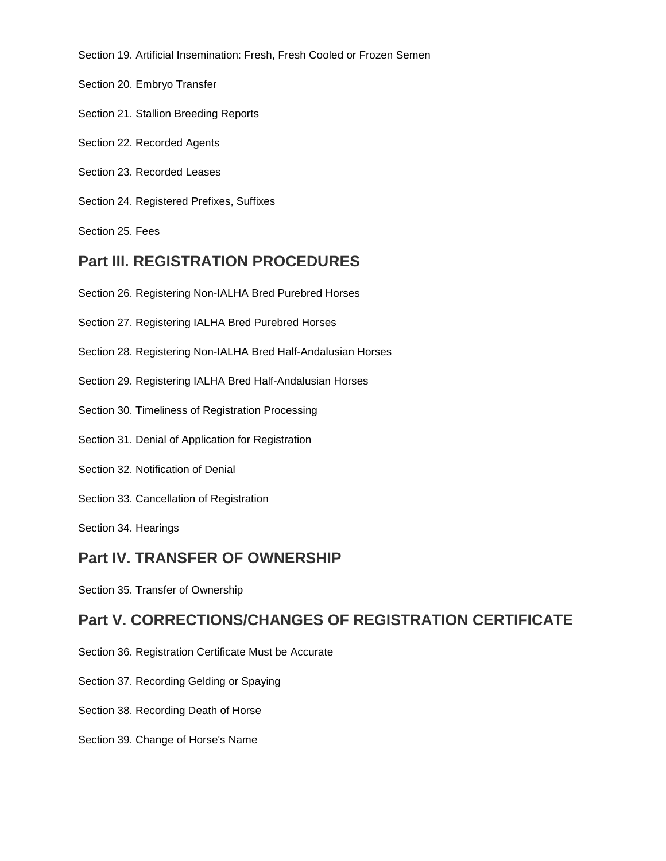[Section 19.](http://www.ialha.org/cms/index.php?option=com_content&task=view&id=74&Itemid=165#s19#s19) Artificial Insemination: Fresh, Fresh Cooled or Frozen Semen

[Section 20.](http://www.ialha.org/cms/index.php?option=com_content&task=view&id=74&Itemid=165#s20#s20) Embryo Transfer

- [Section 21.](http://www.ialha.org/cms/index.php?option=com_content&task=view&id=74&Itemid=165#s21#s21) Stallion Breeding Reports
- Section 22. Recorded Agents
- Section 23. Recorded Leases
- [Section 24.](http://www.ialha.org/cms/index.php?option=com_content&task=view&id=74&Itemid=165#s24#s24) Registered Prefixes, Suffixes
- [Section 25.](http://www.ialha.org/cms/index.php?option=com_content&task=view&id=74&Itemid=165#s25#s25) Fees

#### **Part III. REGISTRATION PROCEDURES**

- [Section 26.](http://www.ialha.org/cms/index.php?option=com_content&task=view&id=74&Itemid=165#s26#s26) Registering Non-IALHA Bred Purebred Horses
- [Section 27.](http://www.ialha.org/cms/index.php?option=com_content&task=view&id=74&Itemid=165#s27#s27) Registering IALHA Bred Purebred Horses
- [Section 28.](http://www.ialha.org/cms/index.php?option=com_content&task=view&id=74&Itemid=165#s28#s28) Registering Non-IALHA Bred Half-Andalusian Horses
- [Section 29.](http://www.ialha.org/cms/index.php?option=com_content&task=view&id=74&Itemid=165#s29#s29) Registering IALHA Bred Half-Andalusian Horses
- [Section 30.](http://www.ialha.org/cms/index.php?option=com_content&task=view&id=74&Itemid=165#s30#s30) Timeliness of Registration Processing
- Section 31. Denial of Application for Registration
- Section 32. Notification of Denial
- [Section 33.](http://www.ialha.org/cms/index.php?option=com_content&task=view&id=74&Itemid=165#s33#s33) Cancellation of Registration

[Section 34.](http://www.ialha.org/cms/index.php?option=com_content&task=view&id=74&Itemid=165#s34#s34) Hearings

#### **Part IV. TRANSFER OF OWNERSHIP**

[Section 35.](http://www.ialha.org/cms/index.php?option=com_content&task=view&id=74&Itemid=165#s35#s35) Transfer of Ownership

#### **Part V. CORRECTIONS/CHANGES OF REGISTRATION CERTIFICATE**

- [Section 36.](http://www.ialha.org/cms/index.php?option=com_content&task=view&id=74&Itemid=165#s36#s36) Registration Certificate Must be Accurate
- [Section 37.](http://www.ialha.org/cms/index.php?option=com_content&task=view&id=74&Itemid=165#s37#s37) Recording Gelding or Spaying
- [Section 38.](http://www.ialha.org/cms/index.php?option=com_content&task=view&id=74&Itemid=165#s38#s38) Recording Death of Horse
- [Section 39.](http://www.ialha.org/cms/index.php?option=com_content&task=view&id=74&Itemid=165#s39#s39) Change of Horse's Name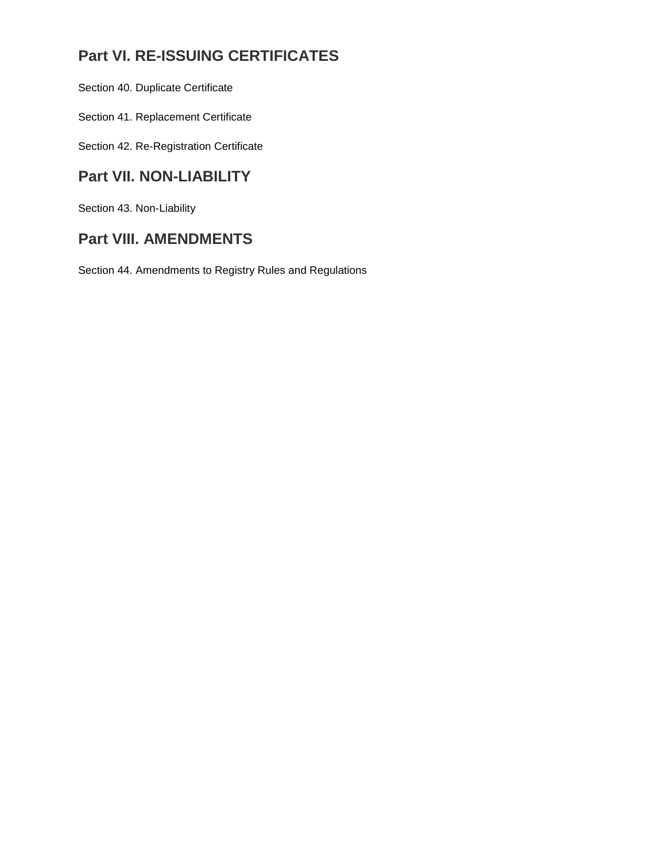## **Part VI. RE-ISSUING CERTIFICATES**

[Section 40.](http://www.ialha.org/cms/index.php?option=com_content&task=view&id=74&Itemid=165#s40#s40) Duplicate Certificate

[Section 41.](http://www.ialha.org/cms/index.php?option=com_content&task=view&id=74&Itemid=165#s41#s41) Replacement Certificate

[Section 42.](http://www.ialha.org/cms/index.php?option=com_content&task=view&id=74&Itemid=165#s42#s42) Re-Registration Certificate

## **Part VII. NON-LIABILITY**

[Section 43.](http://www.ialha.org/cms/index.php?option=com_content&task=view&id=74&Itemid=165#s43#s43) Non-Liability

## **Part VIII. AMENDMENTS**

[Section 44.](http://www.ialha.org/cms/index.php?option=com_content&task=view&id=74&Itemid=165#s44#s44) Amendments to Registry Rules and Regulations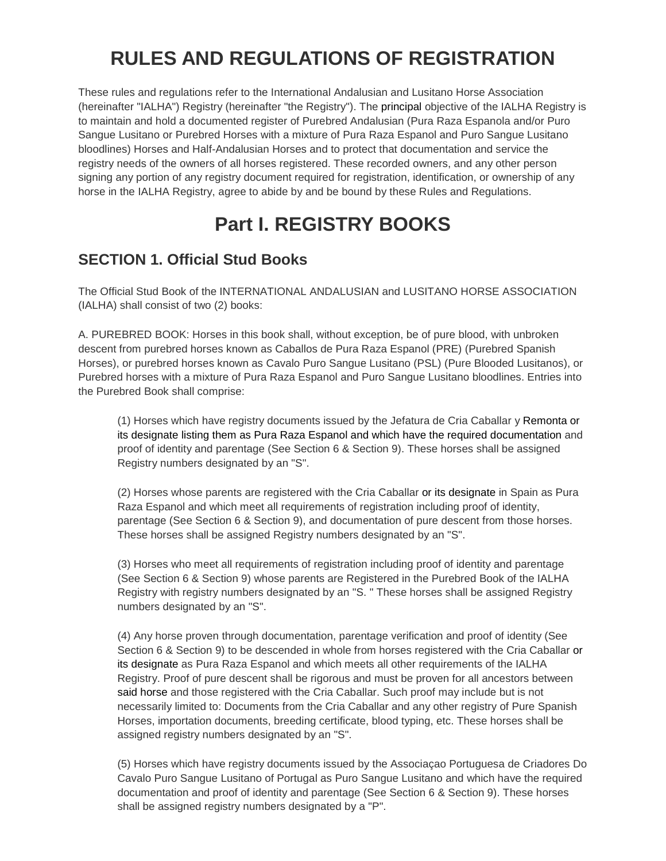# **RULES AND REGULATIONS OF REGISTRATION**

These rules and regulations refer to the International Andalusian and Lusitano Horse Association (hereinafter "IALHA") Registry (hereinafter "the Registry"). The principal objective of the IALHA Registry is to maintain and hold a documented register of Purebred Andalusian (Pura Raza Espanola and/or Puro Sangue Lusitano or Purebred Horses with a mixture of Pura Raza Espanol and Puro Sangue Lusitano bloodlines) Horses and Half-Andalusian Horses and to protect that documentation and service the registry needs of the owners of all horses registered. These recorded owners, and any other person signing any portion of any registry document required for registration, identification, or ownership of any horse in the IALHA Registry, agree to abide by and be bound by these Rules and Regulations.

# **Part I. REGISTRY BOOKS**

## **SECTION 1. Official Stud Books**

The Official Stud Book of the INTERNATIONAL ANDALUSIAN and LUSITANO HORSE ASSOCIATION (IALHA) shall consist of two (2) books:

A. PUREBRED BOOK: Horses in this book shall, without exception, be of pure blood, with unbroken descent from purebred horses known as Caballos de Pura Raza Espanol (PRE) (Purebred Spanish Horses), or purebred horses known as Cavalo Puro Sangue Lusitano (PSL) (Pure Blooded Lusitanos), or Purebred horses with a mixture of Pura Raza Espanol and Puro Sangue Lusitano bloodlines. Entries into the Purebred Book shall comprise:

(1) Horses which have registry documents issued by the Jefatura de Cria Caballar y Remonta or its designate listing them as Pura Raza Espanol and which have the required documentation and proof of identity and parentage (See Section 6 & Section 9). These horses shall be assigned Registry numbers designated by an "S".

(2) Horses whose parents are registered with the Cria Caballar or its designate in Spain as Pura Raza Espanol and which meet all requirements of registration including proof of identity, parentage (See Section 6 & Section 9), and documentation of pure descent from those horses. These horses shall be assigned Registry numbers designated by an "S".

(3) Horses who meet all requirements of registration including proof of identity and parentage (See Section 6 & Section 9) whose parents are Registered in the Purebred Book of the IALHA Registry with registry numbers designated by an "S. " These horses shall be assigned Registry numbers designated by an "S".

(4) Any horse proven through documentation, parentage verification and proof of identity (See Section 6 & Section 9) to be descended in whole from horses registered with the Cria Caballar or its designate as Pura Raza Espanol and which meets all other requirements of the IALHA Registry. Proof of pure descent shall be rigorous and must be proven for all ancestors between said horse and those registered with the Cria Caballar. Such proof may include but is not necessarily limited to: Documents from the Cria Caballar and any other registry of Pure Spanish Horses, importation documents, breeding certificate, blood typing, etc. These horses shall be assigned registry numbers designated by an "S".

(5) Horses which have registry documents issued by the Associaçao Portuguesa de Criadores Do Cavalo Puro Sangue Lusitano of Portugal as Puro Sangue Lusitano and which have the required documentation and proof of identity and parentage (See Section 6 & Section 9). These horses shall be assigned registry numbers designated by a "P".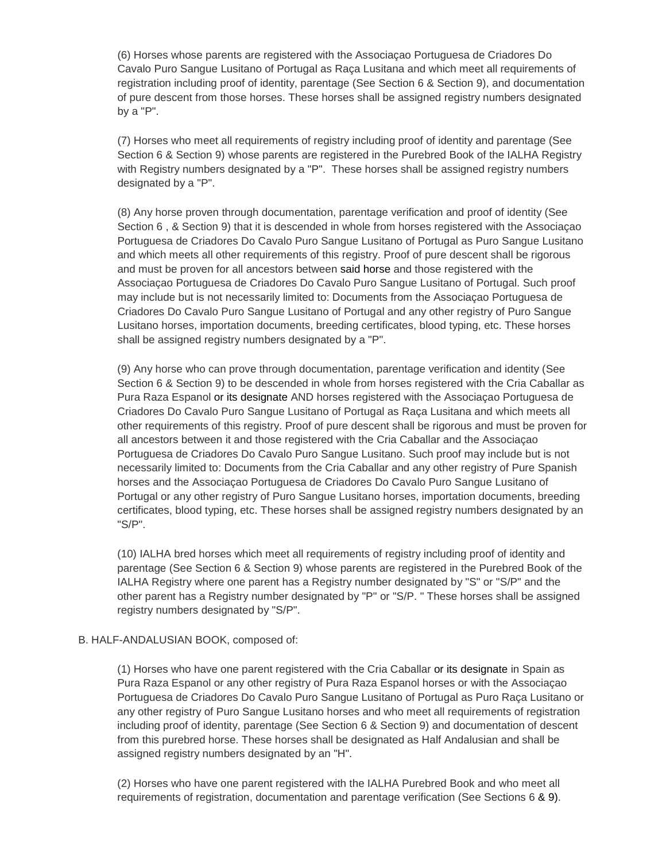(6) Horses whose parents are registered with the Associaçao Portuguesa de Criadores Do Cavalo Puro Sangue Lusitano of Portugal as Raça Lusitana and which meet all requirements of registration including proof of identity, parentage (See Section 6 & Section 9), and documentation of pure descent from those horses. These horses shall be assigned registry numbers designated by a "P".

(7) Horses who meet all requirements of registry including proof of identity and parentage (See Section 6 & Section 9) whose parents are registered in the Purebred Book of the IALHA Registry with Registry numbers designated by a "P". These horses shall be assigned registry numbers designated by a "P".

(8) Any horse proven through documentation, parentage verification and proof of identity (See Section 6 , & Section 9) that it is descended in whole from horses registered with the Associaçao Portuguesa de Criadores Do Cavalo Puro Sangue Lusitano of Portugal as Puro Sangue Lusitano and which meets all other requirements of this registry. Proof of pure descent shall be rigorous and must be proven for all ancestors between said horse and those registered with the Associaçao Portuguesa de Criadores Do Cavalo Puro Sangue Lusitano of Portugal. Such proof may include but is not necessarily limited to: Documents from the Associaçao Portuguesa de Criadores Do Cavalo Puro Sangue Lusitano of Portugal and any other registry of Puro Sangue Lusitano horses, importation documents, breeding certificates, blood typing, etc. These horses shall be assigned registry numbers designated by a "P".

(9) Any horse who can prove through documentation, parentage verification and identity (See Section 6 & Section 9) to be descended in whole from horses registered with the Cria Caballar as Pura Raza Espanol or its designate AND horses registered with the Associaçao Portuguesa de Criadores Do Cavalo Puro Sangue Lusitano of Portugal as Raça Lusitana and which meets all other requirements of this registry. Proof of pure descent shall be rigorous and must be proven for all ancestors between it and those registered with the Cria Caballar and the Associaçao Portuguesa de Criadores Do Cavalo Puro Sangue Lusitano. Such proof may include but is not necessarily limited to: Documents from the Cria Caballar and any other registry of Pure Spanish horses and the Associaçao Portuguesa de Criadores Do Cavalo Puro Sangue Lusitano of Portugal or any other registry of Puro Sangue Lusitano horses, importation documents, breeding certificates, blood typing, etc. These horses shall be assigned registry numbers designated by an "S/P".

(10) IALHA bred horses which meet all requirements of registry including proof of identity and parentage (See Section 6 & Section 9) whose parents are registered in the Purebred Book of the IALHA Registry where one parent has a Registry number designated by "S" or "S/P" and the other parent has a Registry number designated by "P" or "S/P. " These horses shall be assigned registry numbers designated by "S/P".

#### B. HALF-ANDALUSIAN BOOK, composed of:

(1) Horses who have one parent registered with the Cria Caballar or its designate in Spain as Pura Raza Espanol or any other registry of Pura Raza Espanol horses or with the Associaçao Portuguesa de Criadores Do Cavalo Puro Sangue Lusitano of Portugal as Puro Raça Lusitano or any other registry of Puro Sangue Lusitano horses and who meet all requirements of registration including proof of identity, parentage (See Section 6 & Section 9) and documentation of descent from this purebred horse. These horses shall be designated as Half Andalusian and shall be assigned registry numbers designated by an "H".

(2) Horses who have one parent registered with the IALHA Purebred Book and who meet all requirements of registration, documentation and parentage verification (See Sections 6 & 9).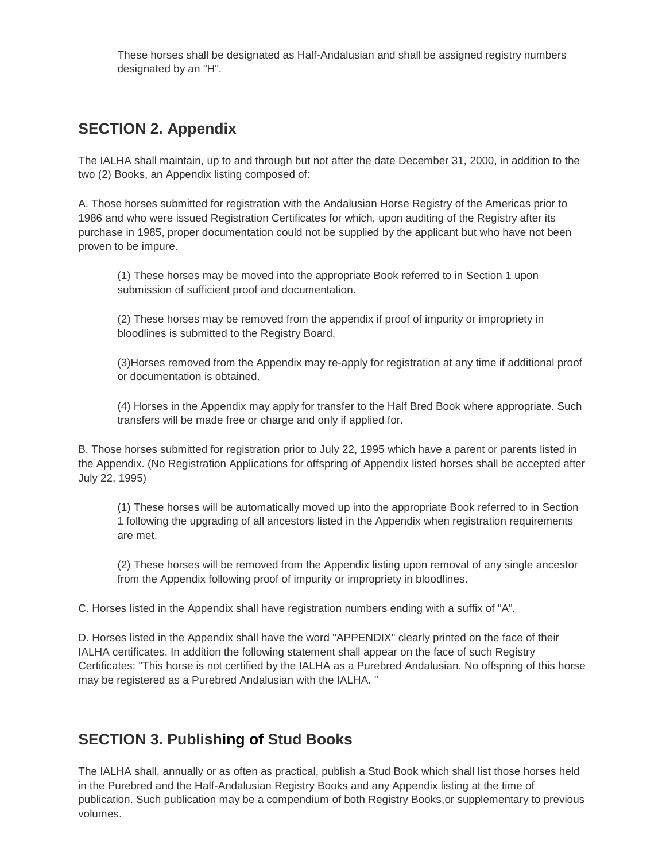These horses shall be designated as Half-Andalusian and shall be assigned registry numbers designated by an "H".

## **SECTION 2. Appendix**

The IALHA shall maintain, up to and through but not after the date December 31, 2000, in addition to the two (2) Books, an Appendix listing composed of:

A. Those horses submitted for registration with the Andalusian Horse Registry of the Americas prior to 1986 and who were issued Registration Certificates for which, upon auditing of the Registry after its purchase in 1985, proper documentation could not be supplied by the applicant but who have not been proven to be impure.

(1) These horses may be moved into the appropriate Book referred to in Section 1 upon submission of sufficient proof and documentation.

(2) These horses may be removed from the appendix if proof of impurity or impropriety in bloodlines is submitted to the Registry Board.

(3)Horses removed from the Appendix may re-apply for registration at any time if additional proof or documentation is obtained.

(4) Horses in the Appendix may apply for transfer to the Half Bred Book where appropriate. Such transfers will be made free or charge and only if applied for.

B. Those horses submitted for registration prior to July 22, 1995 which have a parent or parents listed in the Appendix. (No Registration Applications for offspring of Appendix listed horses shall be accepted after July 22, 1995)

(1) These horses will be automatically moved up into the appropriate Book referred to in Section 1 following the upgrading of all ancestors listed in the Appendix when registration requirements are met.

(2) These horses will be removed from the Appendix listing upon removal of any single ancestor from the Appendix following proof of impurity or impropriety in bloodlines.

C. Horses listed in the Appendix shall have registration numbers ending with a suffix of "A".

D. Horses listed in the Appendix shall have the word "APPENDIX" clearly printed on the face of their IALHA certificates. In addition the following statement shall appear on the face of such Registry Certificates: "This horse is not certified by the IALHA as a Purebred Andalusian. No offspring of this horse may be registered as a Purebred Andalusian with the IALHA. "

### **SECTION 3. Publishing of Stud Books**

The IALHA shall, annually or as often as practical, publish a Stud Book which shall list those horses held in the Purebred and the Half-Andalusian Registry Books and any Appendix listing at the time of publication. Such publication may be a compendium of both Registry Books,or supplementary to previous volumes.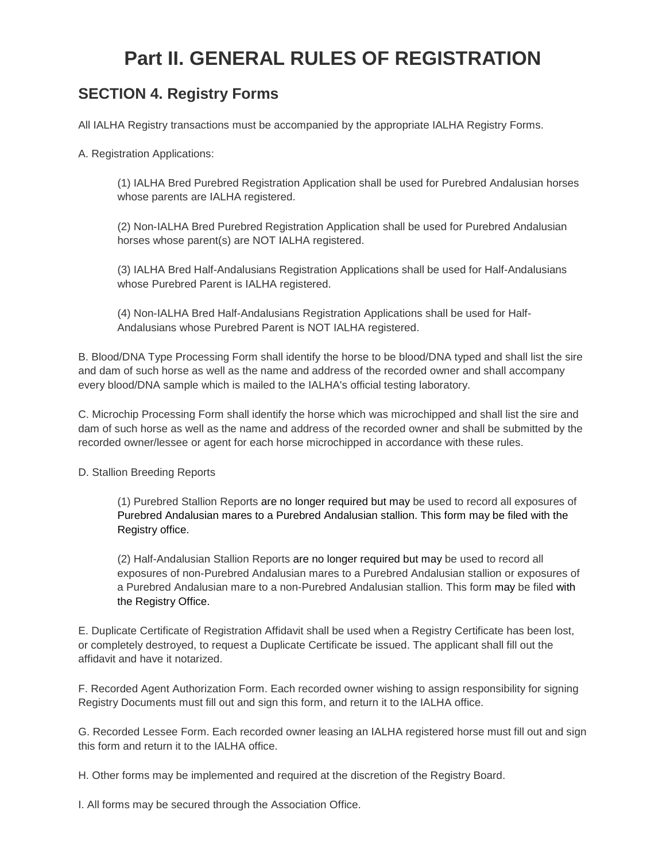# **Part II. GENERAL RULES OF REGISTRATION**

## **SECTION 4. Registry Forms**

All IALHA Registry transactions must be accompanied by the appropriate IALHA Registry Forms.

A. Registration Applications:

(1) IALHA Bred Purebred Registration Application shall be used for Purebred Andalusian horses whose parents are IALHA registered.

(2) Non-IALHA Bred Purebred Registration Application shall be used for Purebred Andalusian horses whose parent(s) are NOT IALHA registered.

(3) IALHA Bred Half-Andalusians Registration Applications shall be used for Half-Andalusians whose Purebred Parent is IALHA registered.

(4) Non-IALHA Bred Half-Andalusians Registration Applications shall be used for Half-Andalusians whose Purebred Parent is NOT IALHA registered.

B. Blood/DNA Type Processing Form shall identify the horse to be blood/DNA typed and shall list the sire and dam of such horse as well as the name and address of the recorded owner and shall accompany every blood/DNA sample which is mailed to the IALHA's official testing laboratory.

C. Microchip Processing Form shall identify the horse which was microchipped and shall list the sire and dam of such horse as well as the name and address of the recorded owner and shall be submitted by the recorded owner/lessee or agent for each horse microchipped in accordance with these rules.

D. Stallion Breeding Reports

(1) Purebred Stallion Reports are no longer required but may be used to record all exposures of Purebred Andalusian mares to a Purebred Andalusian stallion. This form may be filed with the Registry office.

(2) Half-Andalusian Stallion Reports are no longer required but may be used to record all exposures of non-Purebred Andalusian mares to a Purebred Andalusian stallion or exposures of a Purebred Andalusian mare to a non-Purebred Andalusian stallion. This form may be filed with the Registry Office.

E. Duplicate Certificate of Registration Affidavit shall be used when a Registry Certificate has been lost, or completely destroyed, to request a Duplicate Certificate be issued. The applicant shall fill out the affidavit and have it notarized.

F. Recorded Agent Authorization Form. Each recorded owner wishing to assign responsibility for signing Registry Documents must fill out and sign this form, and return it to the IALHA office.

G. Recorded Lessee Form. Each recorded owner leasing an IALHA registered horse must fill out and sign this form and return it to the IALHA office.

H. Other forms may be implemented and required at the discretion of the Registry Board.

I. All forms may be secured through the Association Office.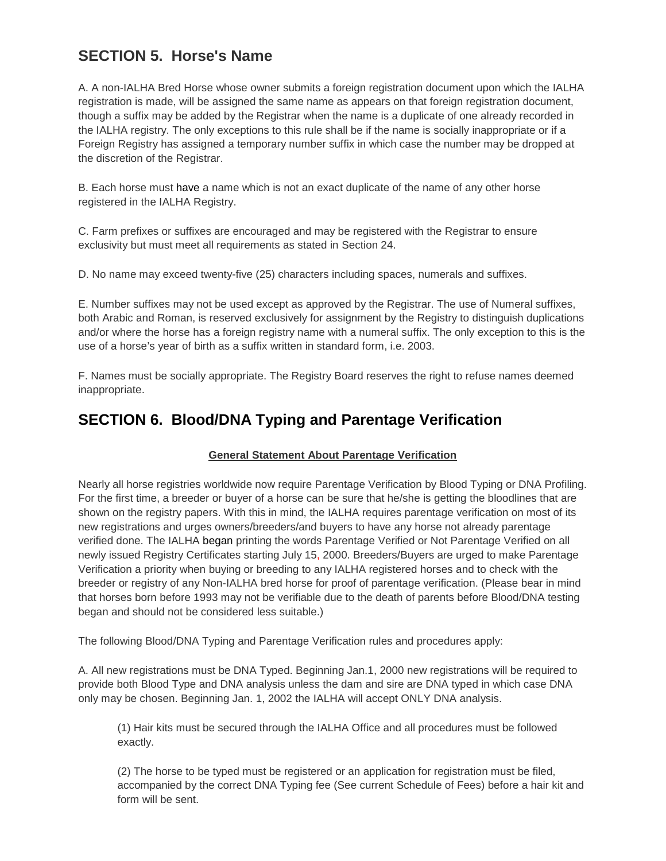## **SECTION 5. Horse's Name**

A. A non-IALHA Bred Horse whose owner submits a foreign registration document upon which the IALHA registration is made, will be assigned the same name as appears on that foreign registration document, though a suffix may be added by the Registrar when the name is a duplicate of one already recorded in the IALHA registry. The only exceptions to this rule shall be if the name is socially inappropriate or if a Foreign Registry has assigned a temporary number suffix in which case the number may be dropped at the discretion of the Registrar.

B. Each horse must have a name which is not an exact duplicate of the name of any other horse registered in the IALHA Registry.

C. Farm prefixes or suffixes are encouraged and may be registered with the Registrar to ensure exclusivity but must meet all requirements as stated in Section 24.

D. No name may exceed twenty-five (25) characters including spaces, numerals and suffixes.

E. Number suffixes may not be used except as approved by the Registrar. The use of Numeral suffixes, both Arabic and Roman, is reserved exclusively for assignment by the Registry to distinguish duplications and/or where the horse has a foreign registry name with a numeral suffix. The only exception to this is the use of a horse's year of birth as a suffix written in standard form, i.e. 2003.

F. Names must be socially appropriate. The Registry Board reserves the right to refuse names deemed inappropriate.

### **SECTION 6. Blood/DNA Typing and Parentage Verification**

#### **General Statement About Parentage Verification**

Nearly all horse registries worldwide now require Parentage Verification by Blood Typing or DNA Profiling. For the first time, a breeder or buyer of a horse can be sure that he/she is getting the bloodlines that are shown on the registry papers. With this in mind, the IALHA requires parentage verification on most of its new registrations and urges owners/breeders/and buyers to have any horse not already parentage verified done. The IALHA began printing the words Parentage Verified or Not Parentage Verified on all newly issued Registry Certificates starting July 15, 2000. Breeders/Buyers are urged to make Parentage Verification a priority when buying or breeding to any IALHA registered horses and to check with the breeder or registry of any Non-IALHA bred horse for proof of parentage verification. (Please bear in mind that horses born before 1993 may not be verifiable due to the death of parents before Blood/DNA testing began and should not be considered less suitable.)

The following Blood/DNA Typing and Parentage Verification rules and procedures apply:

A. All new registrations must be DNA Typed. Beginning Jan.1, 2000 new registrations will be required to provide both Blood Type and DNA analysis unless the dam and sire are DNA typed in which case DNA only may be chosen. Beginning Jan. 1, 2002 the IALHA will accept ONLY DNA analysis.

(1) Hair kits must be secured through the IALHA Office and all procedures must be followed exactly.

(2) The horse to be typed must be registered or an application for registration must be filed, accompanied by the correct DNA Typing fee (See current Schedule of Fees) before a hair kit and form will be sent.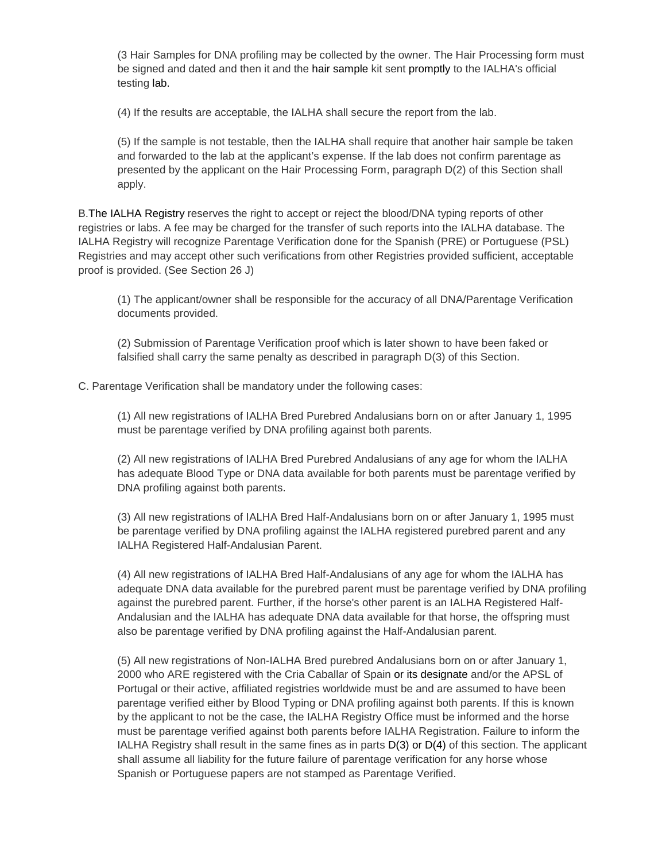(3 Hair Samples for DNA profiling may be collected by the owner. The Hair Processing form must be signed and dated and then it and the hair sample kit sent promptly to the IALHA's official testing lab.

(4) If the results are acceptable, the IALHA shall secure the report from the lab.

(5) If the sample is not testable, then the IALHA shall require that another hair sample be taken and forwarded to the lab at the applicant's expense. If the lab does not confirm parentage as presented by the applicant on the Hair Processing Form, paragraph D(2) of this Section shall apply.

B.The IALHA Registry reserves the right to accept or reject the blood/DNA typing reports of other registries or labs. A fee may be charged for the transfer of such reports into the IALHA database. The IALHA Registry will recognize Parentage Verification done for the Spanish (PRE) or Portuguese (PSL) Registries and may accept other such verifications from other Registries provided sufficient, acceptable proof is provided. (See Section 26 J)

(1) The applicant/owner shall be responsible for the accuracy of all DNA/Parentage Verification documents provided.

(2) Submission of Parentage Verification proof which is later shown to have been faked or falsified shall carry the same penalty as described in paragraph D(3) of this Section.

C. Parentage Verification shall be mandatory under the following cases:

(1) All new registrations of IALHA Bred Purebred Andalusians born on or after January 1, 1995 must be parentage verified by DNA profiling against both parents.

(2) All new registrations of IALHA Bred Purebred Andalusians of any age for whom the IALHA has adequate Blood Type or DNA data available for both parents must be parentage verified by DNA profiling against both parents.

(3) All new registrations of IALHA Bred Half-Andalusians born on or after January 1, 1995 must be parentage verified by DNA profiling against the IALHA registered purebred parent and any IALHA Registered Half-Andalusian Parent.

(4) All new registrations of IALHA Bred Half-Andalusians of any age for whom the IALHA has adequate DNA data available for the purebred parent must be parentage verified by DNA profiling against the purebred parent. Further, if the horse's other parent is an IALHA Registered Half-Andalusian and the IALHA has adequate DNA data available for that horse, the offspring must also be parentage verified by DNA profiling against the Half-Andalusian parent.

(5) All new registrations of Non-IALHA Bred purebred Andalusians born on or after January 1, 2000 who ARE registered with the Cria Caballar of Spain or its designate and/or the APSL of Portugal or their active, affiliated registries worldwide must be and are assumed to have been parentage verified either by Blood Typing or DNA profiling against both parents. If this is known by the applicant to not be the case, the IALHA Registry Office must be informed and the horse must be parentage verified against both parents before IALHA Registration. Failure to inform the IALHA Registry shall result in the same fines as in parts D(3) or D(4) of this section. The applicant shall assume all liability for the future failure of parentage verification for any horse whose Spanish or Portuguese papers are not stamped as Parentage Verified.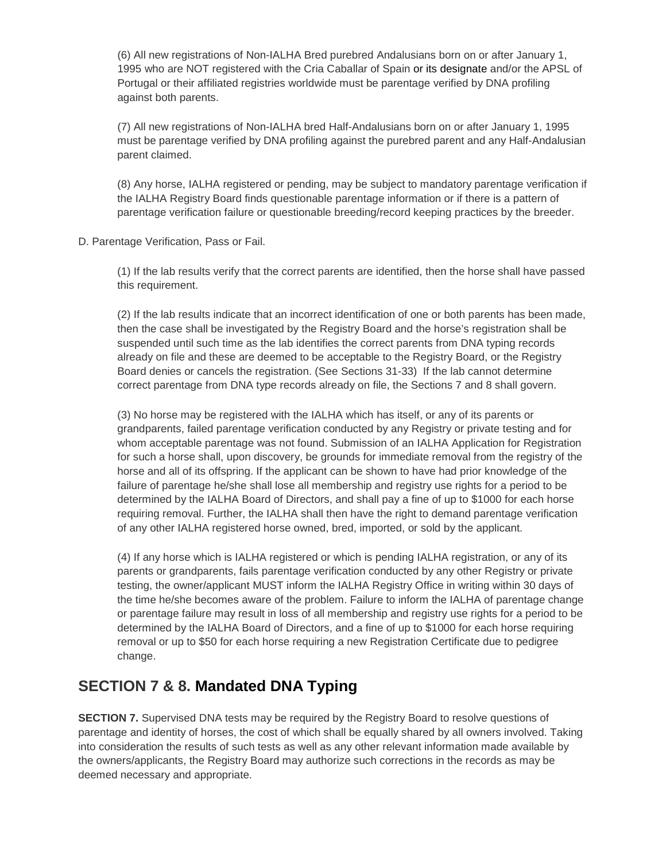(6) All new registrations of Non-IALHA Bred purebred Andalusians born on or after January 1, 1995 who are NOT registered with the Cria Caballar of Spain or its designate and/or the APSL of Portugal or their affiliated registries worldwide must be parentage verified by DNA profiling against both parents.

(7) All new registrations of Non-IALHA bred Half-Andalusians born on or after January 1, 1995 must be parentage verified by DNA profiling against the purebred parent and any Half-Andalusian parent claimed.

(8) Any horse, IALHA registered or pending, may be subject to mandatory parentage verification if the IALHA Registry Board finds questionable parentage information or if there is a pattern of parentage verification failure or questionable breeding/record keeping practices by the breeder.

D. Parentage Verification, Pass or Fail.

(1) If the lab results verify that the correct parents are identified, then the horse shall have passed this requirement.

(2) If the lab results indicate that an incorrect identification of one or both parents has been made, then the case shall be investigated by the Registry Board and the horse's registration shall be suspended until such time as the lab identifies the correct parents from DNA typing records already on file and these are deemed to be acceptable to the Registry Board, or the Registry Board denies or cancels the registration. (See Sections 31-33) If the lab cannot determine correct parentage from DNA type records already on file, the Sections 7 and 8 shall govern.

(3) No horse may be registered with the IALHA which has itself, or any of its parents or grandparents, failed parentage verification conducted by any Registry or private testing and for whom acceptable parentage was not found. Submission of an IALHA Application for Registration for such a horse shall, upon discovery, be grounds for immediate removal from the registry of the horse and all of its offspring. If the applicant can be shown to have had prior knowledge of the failure of parentage he/she shall lose all membership and registry use rights for a period to be determined by the IALHA Board of Directors, and shall pay a fine of up to \$1000 for each horse requiring removal. Further, the IALHA shall then have the right to demand parentage verification of any other IALHA registered horse owned, bred, imported, or sold by the applicant.

(4) If any horse which is IALHA registered or which is pending IALHA registration, or any of its parents or grandparents, fails parentage verification conducted by any other Registry or private testing, the owner/applicant MUST inform the IALHA Registry Office in writing within 30 days of the time he/she becomes aware of the problem. Failure to inform the IALHA of parentage change or parentage failure may result in loss of all membership and registry use rights for a period to be determined by the IALHA Board of Directors, and a fine of up to \$1000 for each horse requiring removal or up to \$50 for each horse requiring a new Registration Certificate due to pedigree change.

## **SECTION 7 & 8. Mandated DNA Typing**

**SECTION 7.** Supervised DNA tests may be required by the Registry Board to resolve questions of parentage and identity of horses, the cost of which shall be equally shared by all owners involved. Taking into consideration the results of such tests as well as any other relevant information made available by the owners/applicants, the Registry Board may authorize such corrections in the records as may be deemed necessary and appropriate.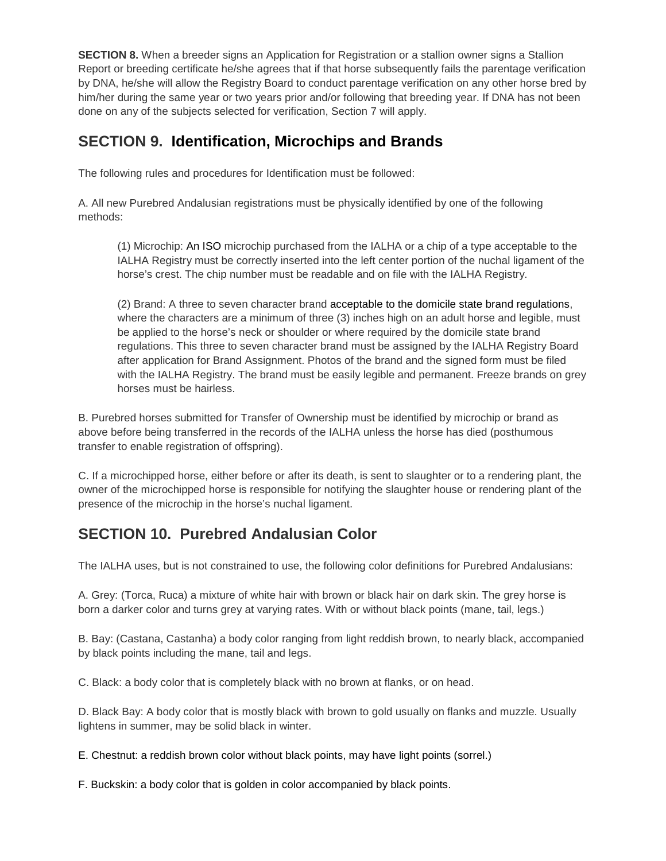**SECTION 8.** When a breeder signs an Application for Registration or a stallion owner signs a Stallion Report or breeding certificate he/she agrees that if that horse subsequently fails the parentage verification by DNA, he/she will allow the Registry Board to conduct parentage verification on any other horse bred by him/her during the same year or two years prior and/or following that breeding year. If DNA has not been done on any of the subjects selected for verification, Section 7 will apply.

## **SECTION 9. Identification, Microchips and Brands**

The following rules and procedures for Identification must be followed:

A. All new Purebred Andalusian registrations must be physically identified by one of the following methods:

(1) Microchip: An ISO microchip purchased from the IALHA or a chip of a type acceptable to the IALHA Registry must be correctly inserted into the left center portion of the nuchal ligament of the horse's crest. The chip number must be readable and on file with the IALHA Registry.

(2) Brand: A three to seven character brand acceptable to the domicile state brand regulations, where the characters are a minimum of three (3) inches high on an adult horse and legible, must be applied to the horse's neck or shoulder or where required by the domicile state brand regulations. This three to seven character brand must be assigned by the IALHA Registry Board after application for Brand Assignment. Photos of the brand and the signed form must be filed with the IALHA Registry. The brand must be easily legible and permanent. Freeze brands on grey horses must be hairless.

B. Purebred horses submitted for Transfer of Ownership must be identified by microchip or brand as above before being transferred in the records of the IALHA unless the horse has died (posthumous transfer to enable registration of offspring).

C. If a microchipped horse, either before or after its death, is sent to slaughter or to a rendering plant, the owner of the microchipped horse is responsible for notifying the slaughter house or rendering plant of the presence of the microchip in the horse's nuchal ligament.

## **SECTION 10. Purebred Andalusian Color**

The IALHA uses, but is not constrained to use, the following color definitions for Purebred Andalusians:

A. Grey: (Torca, Ruca) a mixture of white hair with brown or black hair on dark skin. The grey horse is born a darker color and turns grey at varying rates. With or without black points (mane, tail, legs.)

B. Bay: (Castana, Castanha) a body color ranging from light reddish brown, to nearly black, accompanied by black points including the mane, tail and legs.

C. Black: a body color that is completely black with no brown at flanks, or on head.

D. Black Bay: A body color that is mostly black with brown to gold usually on flanks and muzzle. Usually lightens in summer, may be solid black in winter.

E. Chestnut: a reddish brown color without black points, may have light points (sorrel.)

F. Buckskin: a body color that is golden in color accompanied by black points.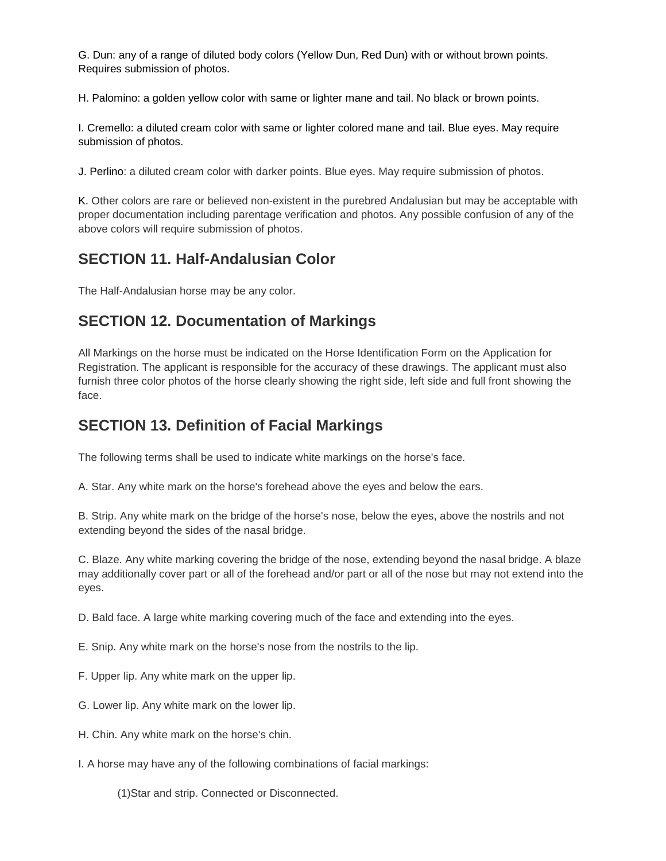G. Dun: any of a range of diluted body colors (Yellow Dun, Red Dun) with or without brown points. Requires submission of photos.

H. Palomino: a golden yellow color with same or lighter mane and tail. No black or brown points.

I. Cremello: a diluted cream color with same or lighter colored mane and tail. Blue eyes. May require submission of photos.

J. Perlino: a diluted cream color with darker points. Blue eyes. May require submission of photos.

K. Other colors are rare or believed non-existent in the purebred Andalusian but may be acceptable with proper documentation including parentage verification and photos. Any possible confusion of any of the above colors will require submission of photos.

### **SECTION 11. Half-Andalusian Color**

The Half-Andalusian horse may be any color.

### **SECTION 12. Documentation of Markings**

All Markings on the horse must be indicated on the Horse Identification Form on the Application for Registration. The applicant is responsible for the accuracy of these drawings. The applicant must also furnish three color photos of the horse clearly showing the right side, left side and full front showing the face.

### **SECTION 13. Definition of Facial Markings**

The following terms shall be used to indicate white markings on the horse's face.

A. Star. Any white mark on the horse's forehead above the eyes and below the ears.

B. Strip. Any white mark on the bridge of the horse's nose, below the eyes, above the nostrils and not extending beyond the sides of the nasal bridge.

C. Blaze. Any white marking covering the bridge of the nose, extending beyond the nasal bridge. A blaze may additionally cover part or all of the forehead and/or part or all of the nose but may not extend into the eyes.

D. Bald face. A large white marking covering much of the face and extending into the eyes.

E. Snip. Any white mark on the horse's nose from the nostrils to the lip.

F. Upper lip. Any white mark on the upper lip.

- G. Lower lip. Any white mark on the lower lip.
- H. Chin. Any white mark on the horse's chin.
- I. A horse may have any of the following combinations of facial markings:

(1)Star and strip. Connected or Disconnected.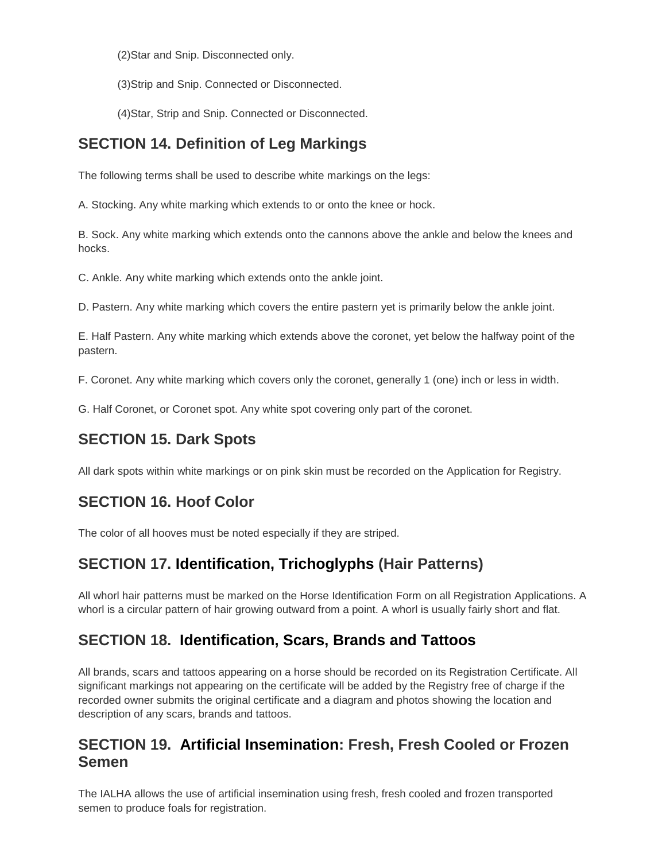(2)Star and Snip. Disconnected only.

(3)Strip and Snip. Connected or Disconnected.

(4)Star, Strip and Snip. Connected or Disconnected.

## **SECTION 14. Definition of Leg Markings**

The following terms shall be used to describe white markings on the legs:

A. Stocking. Any white marking which extends to or onto the knee or hock.

B. Sock. Any white marking which extends onto the cannons above the ankle and below the knees and hocks.

C. Ankle. Any white marking which extends onto the ankle joint.

D. Pastern. Any white marking which covers the entire pastern yet is primarily below the ankle joint.

E. Half Pastern. Any white marking which extends above the coronet, yet below the halfway point of the pastern.

F. Coronet. Any white marking which covers only the coronet, generally 1 (one) inch or less in width.

G. Half Coronet, or Coronet spot. Any white spot covering only part of the coronet.

## **SECTION 15. Dark Spots**

All dark spots within white markings or on pink skin must be recorded on the Application for Registry.

## **SECTION 16. Hoof Color**

The color of all hooves must be noted especially if they are striped.

## **SECTION 17. Identification, Trichoglyphs (Hair Patterns)**

All whorl hair patterns must be marked on the Horse Identification Form on all Registration Applications. A whorl is a circular pattern of hair growing outward from a point. A whorl is usually fairly short and flat.

### **SECTION 18. Identification, Scars, Brands and Tattoos**

All brands, scars and tattoos appearing on a horse should be recorded on its Registration Certificate. All significant markings not appearing on the certificate will be added by the Registry free of charge if the recorded owner submits the original certificate and a diagram and photos showing the location and description of any scars, brands and tattoos.

#### **SECTION 19. Artificial Insemination: Fresh, Fresh Cooled or Frozen Semen**

The IALHA allows the use of artificial insemination using fresh, fresh cooled and frozen transported semen to produce foals for registration.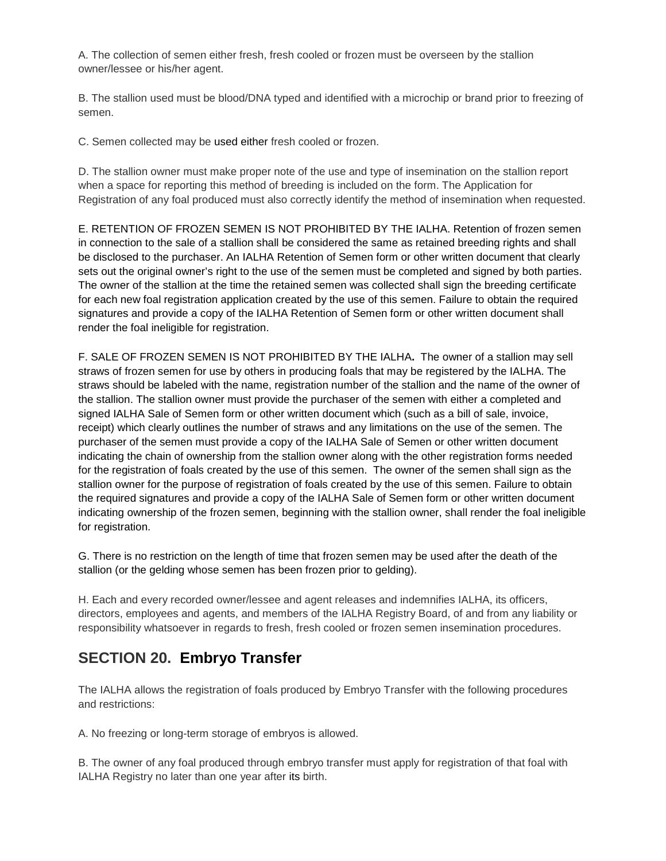A. The collection of semen either fresh, fresh cooled or frozen must be overseen by the stallion owner/lessee or his/her agent.

B. The stallion used must be blood/DNA typed and identified with a microchip or brand prior to freezing of semen.

C. Semen collected may be used either fresh cooled or frozen.

D. The stallion owner must make proper note of the use and type of insemination on the stallion report when a space for reporting this method of breeding is included on the form. The Application for Registration of any foal produced must also correctly identify the method of insemination when requested.

E. RETENTION OF FROZEN SEMEN IS NOT PROHIBITED BY THE IALHA. Retention of frozen semen in connection to the sale of a stallion shall be considered the same as retained breeding rights and shall be disclosed to the purchaser. An IALHA Retention of Semen form or other written document that clearly sets out the original owner's right to the use of the semen must be completed and signed by both parties. The owner of the stallion at the time the retained semen was collected shall sign the breeding certificate for each new foal registration application created by the use of this semen. Failure to obtain the required signatures and provide a copy of the IALHA Retention of Semen form or other written document shall render the foal ineligible for registration.

F. SALE OF FROZEN SEMEN IS NOT PROHIBITED BY THE IALHA**.** The owner of a stallion may sell straws of frozen semen for use by others in producing foals that may be registered by the IALHA. The straws should be labeled with the name, registration number of the stallion and the name of the owner of the stallion. The stallion owner must provide the purchaser of the semen with either a completed and signed IALHA Sale of Semen form or other written document which (such as a bill of sale, invoice, receipt) which clearly outlines the number of straws and any limitations on the use of the semen. The purchaser of the semen must provide a copy of the IALHA Sale of Semen or other written document indicating the chain of ownership from the stallion owner along with the other registration forms needed for the registration of foals created by the use of this semen. The owner of the semen shall sign as the stallion owner for the purpose of registration of foals created by the use of this semen. Failure to obtain the required signatures and provide a copy of the IALHA Sale of Semen form or other written document indicating ownership of the frozen semen, beginning with the stallion owner, shall render the foal ineligible for registration.

G. There is no restriction on the length of time that frozen semen may be used after the death of the stallion (or the gelding whose semen has been frozen prior to gelding).

H. Each and every recorded owner/lessee and agent releases and indemnifies IALHA, its officers, directors, employees and agents, and members of the IALHA Registry Board, of and from any liability or responsibility whatsoever in regards to fresh, fresh cooled or frozen semen insemination procedures.

## **SECTION 20. Embryo Transfer**

The IALHA allows the registration of foals produced by Embryo Transfer with the following procedures and restrictions:

A. No freezing or long-term storage of embryos is allowed.

B. The owner of any foal produced through embryo transfer must apply for registration of that foal with IALHA Registry no later than one year after its birth.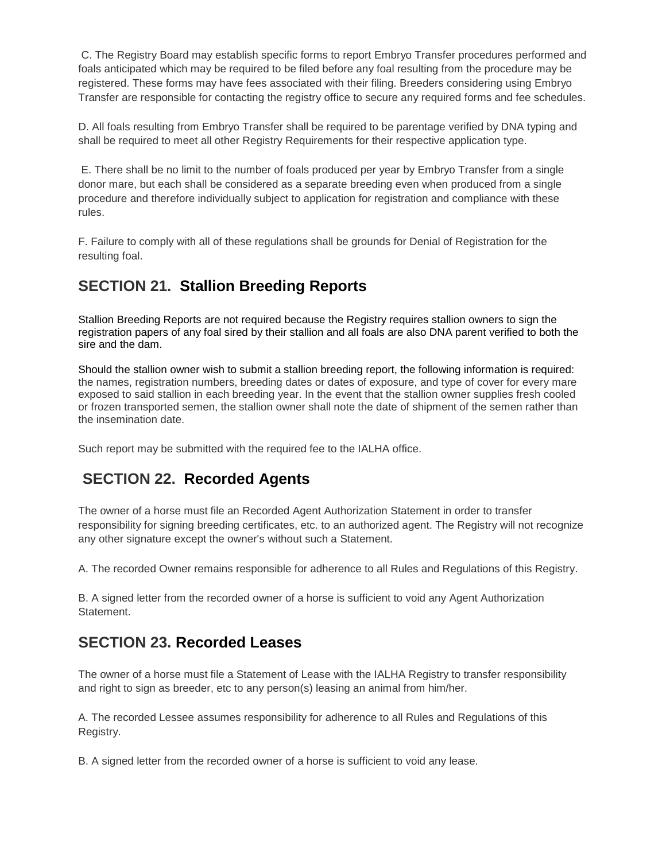C. The Registry Board may establish specific forms to report Embryo Transfer procedures performed and foals anticipated which may be required to be filed before any foal resulting from the procedure may be registered. These forms may have fees associated with their filing. Breeders considering using Embryo Transfer are responsible for contacting the registry office to secure any required forms and fee schedules.

D. All foals resulting from Embryo Transfer shall be required to be parentage verified by DNA typing and shall be required to meet all other Registry Requirements for their respective application type.

E. There shall be no limit to the number of foals produced per year by Embryo Transfer from a single donor mare, but each shall be considered as a separate breeding even when produced from a single procedure and therefore individually subject to application for registration and compliance with these rules.

F. Failure to comply with all of these regulations shall be grounds for Denial of Registration for the resulting foal.

## **SECTION 21. Stallion Breeding Reports**

Stallion Breeding Reports are not required because the Registry requires stallion owners to sign the registration papers of any foal sired by their stallion and all foals are also DNA parent verified to both the sire and the dam.

Should the stallion owner wish to submit a stallion breeding report, the following information is required: the names, registration numbers, breeding dates or dates of exposure, and type of cover for every mare exposed to said stallion in each breeding year. In the event that the stallion owner supplies fresh cooled or frozen transported semen, the stallion owner shall note the date of shipment of the semen rather than the insemination date.

Such report may be submitted with the required fee to the IALHA office.

## **SECTION 22. Recorded Agents**

The owner of a horse must file an Recorded Agent Authorization Statement in order to transfer responsibility for signing breeding certificates, etc. to an authorized agent. The Registry will not recognize any other signature except the owner's without such a Statement.

A. The recorded Owner remains responsible for adherence to all Rules and Regulations of this Registry.

B. A signed letter from the recorded owner of a horse is sufficient to void any Agent Authorization Statement.

### **SECTION 23. Recorded Leases**

The owner of a horse must file a Statement of Lease with the IALHA Registry to transfer responsibility and right to sign as breeder, etc to any person(s) leasing an animal from him/her.

A. The recorded Lessee assumes responsibility for adherence to all Rules and Regulations of this Registry.

B. A signed letter from the recorded owner of a horse is sufficient to void any lease.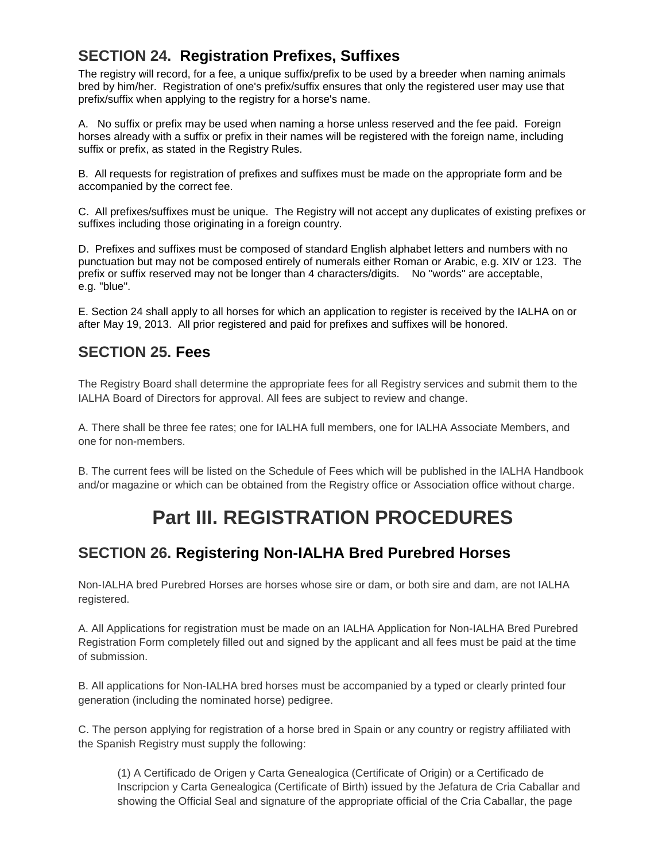## **SECTION 24. Registration Prefixes, Suffixes**

The registry will record, for a fee, a unique suffix/prefix to be used by a breeder when naming animals bred by him/her. Registration of one's prefix/suffix ensures that only the registered user may use that prefix/suffix when applying to the registry for a horse's name.

A. No suffix or prefix may be used when naming a horse unless reserved and the fee paid. Foreign horses already with a suffix or prefix in their names will be registered with the foreign name, including suffix or prefix, as stated in the Registry Rules.

B. All requests for registration of prefixes and suffixes must be made on the appropriate form and be accompanied by the correct fee.

C. All prefixes/suffixes must be unique. The Registry will not accept any duplicates of existing prefixes or suffixes including those originating in a foreign country.

D. Prefixes and suffixes must be composed of standard English alphabet letters and numbers with no punctuation but may not be composed entirely of numerals either Roman or Arabic, e.g. XIV or 123. The prefix or suffix reserved may not be longer than 4 characters/digits. No "words" are acceptable, e.g. "blue".

E. Section 24 shall apply to all horses for which an application to register is received by the IALHA on or after May 19, 2013. All prior registered and paid for prefixes and suffixes will be honored.

#### **SECTION 25. Fees**

The Registry Board shall determine the appropriate fees for all Registry services and submit them to the IALHA Board of Directors for approval. All fees are subject to review and change.

A. There shall be three fee rates; one for IALHA full members, one for IALHA Associate Members, and one for non-members.

B. The current fees will be listed on the Schedule of Fees which will be published in the IALHA Handbook and/or magazine or which can be obtained from the Registry office or Association office without charge.

# **Part III. REGISTRATION PROCEDURES**

### **SECTION 26. Registering Non-IALHA Bred Purebred Horses**

Non-IALHA bred Purebred Horses are horses whose sire or dam, or both sire and dam, are not IALHA registered.

A. All Applications for registration must be made on an IALHA Application for Non-IALHA Bred Purebred Registration Form completely filled out and signed by the applicant and all fees must be paid at the time of submission.

B. All applications for Non-IALHA bred horses must be accompanied by a typed or clearly printed four generation (including the nominated horse) pedigree.

C. The person applying for registration of a horse bred in Spain or any country or registry affiliated with the Spanish Registry must supply the following:

(1) A Certificado de Origen y Carta Genealogica (Certificate of Origin) or a Certificado de Inscripcion y Carta Genealogica (Certificate of Birth) issued by the Jefatura de Cria Caballar and showing the Official Seal and signature of the appropriate official of the Cria Caballar, the page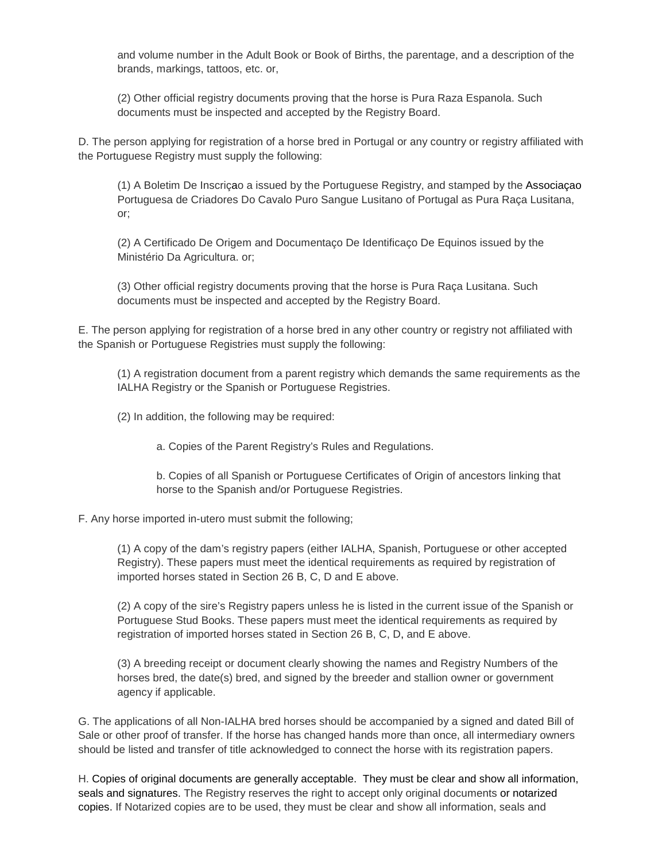and volume number in the Adult Book or Book of Births, the parentage, and a description of the brands, markings, tattoos, etc. or,

(2) Other official registry documents proving that the horse is Pura Raza Espanola. Such documents must be inspected and accepted by the Registry Board.

D. The person applying for registration of a horse bred in Portugal or any country or registry affiliated with the Portuguese Registry must supply the following:

(1) A Boletim De Inscriçao a issued by the Portuguese Registry, and stamped by the Associaçao Portuguesa de Criadores Do Cavalo Puro Sangue Lusitano of Portugal as Pura Raça Lusitana, or;

(2) A Certificado De Origem and Documentaço De Identificaço De Equinos issued by the Ministério Da Agricultura. or;

(3) Other official registry documents proving that the horse is Pura Raça Lusitana. Such documents must be inspected and accepted by the Registry Board.

E. The person applying for registration of a horse bred in any other country or registry not affiliated with the Spanish or Portuguese Registries must supply the following:

(1) A registration document from a parent registry which demands the same requirements as the IALHA Registry or the Spanish or Portuguese Registries.

- (2) In addition, the following may be required:
	- a. Copies of the Parent Registry's Rules and Regulations.

b. Copies of all Spanish or Portuguese Certificates of Origin of ancestors linking that horse to the Spanish and/or Portuguese Registries.

F. Any horse imported in-utero must submit the following;

(1) A copy of the dam's registry papers (either IALHA, Spanish, Portuguese or other accepted Registry). These papers must meet the identical requirements as required by registration of imported horses stated in Section 26 B, C, D and E above.

(2) A copy of the sire's Registry papers unless he is listed in the current issue of the Spanish or Portuguese Stud Books. These papers must meet the identical requirements as required by registration of imported horses stated in Section 26 B, C, D, and E above.

(3) A breeding receipt or document clearly showing the names and Registry Numbers of the horses bred, the date(s) bred, and signed by the breeder and stallion owner or government agency if applicable.

G. The applications of all Non-IALHA bred horses should be accompanied by a signed and dated Bill of Sale or other proof of transfer. If the horse has changed hands more than once, all intermediary owners should be listed and transfer of title acknowledged to connect the horse with its registration papers.

H. Copies of original documents are generally acceptable. They must be clear and show all information, seals and signatures. The Registry reserves the right to accept only original documents or notarized copies. If Notarized copies are to be used, they must be clear and show all information, seals and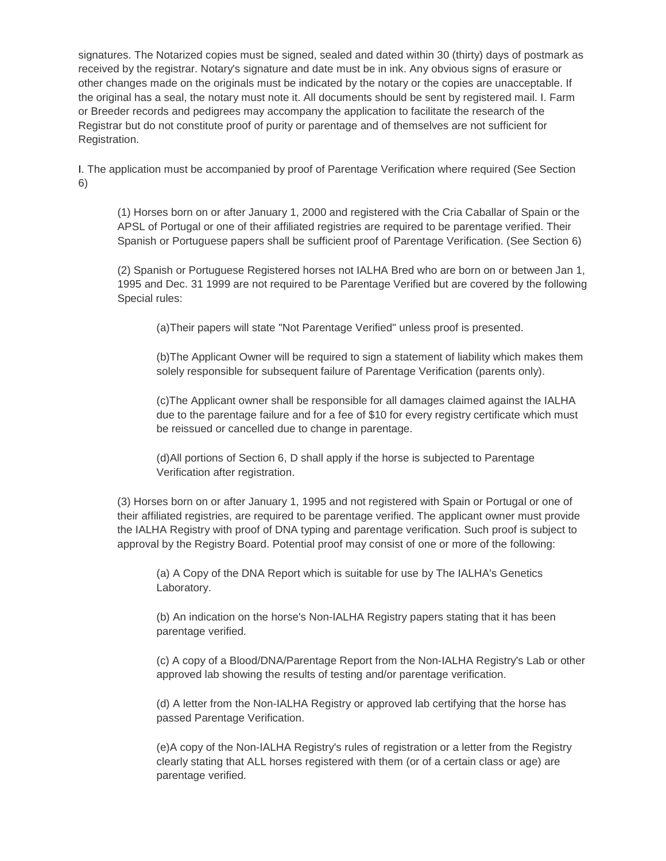signatures. The Notarized copies must be signed, sealed and dated within 30 (thirty) days of postmark as received by the registrar. Notary's signature and date must be in ink. Any obvious signs of erasure or other changes made on the originals must be indicated by the notary or the copies are unacceptable. If the original has a seal, the notary must note it. All documents should be sent by registered mail. I. Farm or Breeder records and pedigrees may accompany the application to facilitate the research of the Registrar but do not constitute proof of purity or parentage and of themselves are not sufficient for Registration.

I. The application must be accompanied by proof of Parentage Verification where required (See Section 6)

(1) Horses born on or after January 1, 2000 and registered with the Cria Caballar of Spain or the APSL of Portugal or one of their affiliated registries are required to be parentage verified. Their Spanish or Portuguese papers shall be sufficient proof of Parentage Verification. (See Section 6)

(2) Spanish or Portuguese Registered horses not IALHA Bred who are born on or between Jan 1, 1995 and Dec. 31 1999 are not required to be Parentage Verified but are covered by the following Special rules:

(a)Their papers will state "Not Parentage Verified" unless proof is presented.

(b)The Applicant Owner will be required to sign a statement of liability which makes them solely responsible for subsequent failure of Parentage Verification (parents only).

(c)The Applicant owner shall be responsible for all damages claimed against the IALHA due to the parentage failure and for a fee of \$10 for every registry certificate which must be reissued or cancelled due to change in parentage.

(d)All portions of Section 6, D shall apply if the horse is subjected to Parentage Verification after registration.

(3) Horses born on or after January 1, 1995 and not registered with Spain or Portugal or one of their affiliated registries, are required to be parentage verified. The applicant owner must provide the IALHA Registry with proof of DNA typing and parentage verification. Such proof is subject to approval by the Registry Board. Potential proof may consist of one or more of the following:

(a) A Copy of the DNA Report which is suitable for use by The IALHA's Genetics Laboratory.

(b) An indication on the horse's Non-IALHA Registry papers stating that it has been parentage verified.

(c) A copy of a Blood/DNA/Parentage Report from the Non-IALHA Registry's Lab or other approved lab showing the results of testing and/or parentage verification.

(d) A letter from the Non-IALHA Registry or approved lab certifying that the horse has passed Parentage Verification.

(e)A copy of the Non-IALHA Registry's rules of registration or a letter from the Registry clearly stating that ALL horses registered with them (or of a certain class or age) are parentage verified.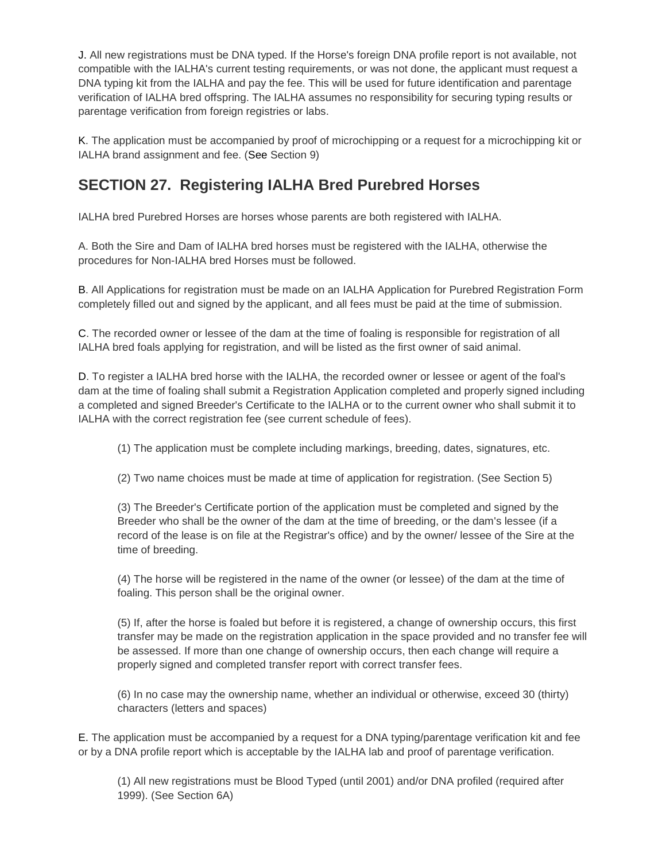J. All new registrations must be DNA typed. If the Horse's foreign DNA profile report is not available, not compatible with the IALHA's current testing requirements, or was not done, the applicant must request a DNA typing kit from the IALHA and pay the fee. This will be used for future identification and parentage verification of IALHA bred offspring. The IALHA assumes no responsibility for securing typing results or parentage verification from foreign registries or labs.

K. The application must be accompanied by proof of microchipping or a request for a microchipping kit or IALHA brand assignment and fee. (See Section 9)

## **SECTION 27. Registering IALHA Bred Purebred Horses**

IALHA bred Purebred Horses are horses whose parents are both registered with IALHA.

A. Both the Sire and Dam of IALHA bred horses must be registered with the IALHA, otherwise the procedures for Non-IALHA bred Horses must be followed.

B. All Applications for registration must be made on an IALHA Application for Purebred Registration Form completely filled out and signed by the applicant, and all fees must be paid at the time of submission.

C. The recorded owner or lessee of the dam at the time of foaling is responsible for registration of all IALHA bred foals applying for registration, and will be listed as the first owner of said animal.

D. To register a IALHA bred horse with the IALHA, the recorded owner or lessee or agent of the foal's dam at the time of foaling shall submit a Registration Application completed and properly signed including a completed and signed Breeder's Certificate to the IALHA or to the current owner who shall submit it to IALHA with the correct registration fee (see current schedule of fees).

(1) The application must be complete including markings, breeding, dates, signatures, etc.

(2) Two name choices must be made at time of application for registration. (See Section 5)

(3) The Breeder's Certificate portion of the application must be completed and signed by the Breeder who shall be the owner of the dam at the time of breeding, or the dam's lessee (if a record of the lease is on file at the Registrar's office) and by the owner/ lessee of the Sire at the time of breeding.

(4) The horse will be registered in the name of the owner (or lessee) of the dam at the time of foaling. This person shall be the original owner.

(5) If, after the horse is foaled but before it is registered, a change of ownership occurs, this first transfer may be made on the registration application in the space provided and no transfer fee will be assessed. If more than one change of ownership occurs, then each change will require a properly signed and completed transfer report with correct transfer fees.

(6) In no case may the ownership name, whether an individual or otherwise, exceed 30 (thirty) characters (letters and spaces)

E. The application must be accompanied by a request for a DNA typing/parentage verification kit and fee or by a DNA profile report which is acceptable by the IALHA lab and proof of parentage verification.

(1) All new registrations must be Blood Typed (until 2001) and/or DNA profiled (required after 1999). (See Section 6A)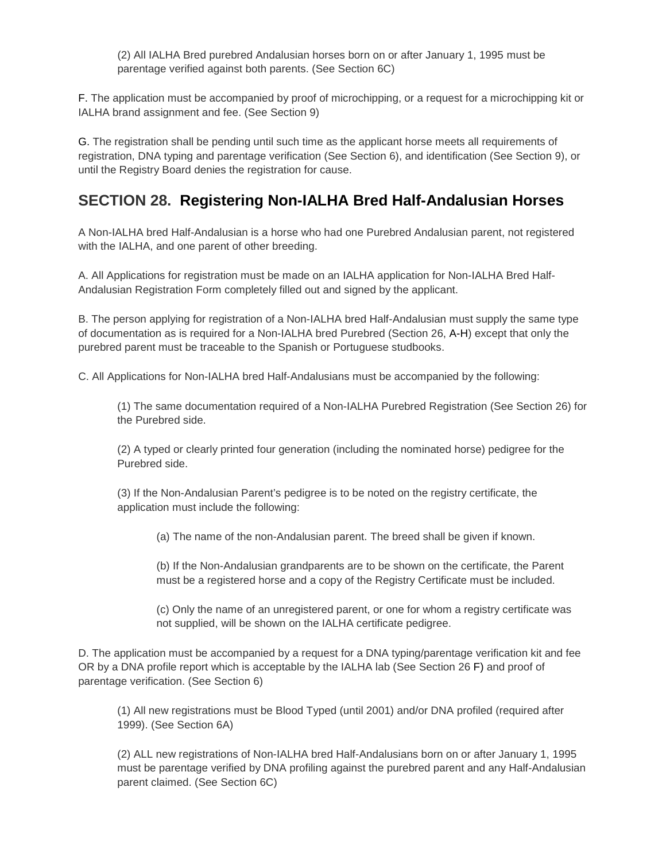(2) All IALHA Bred purebred Andalusian horses born on or after January 1, 1995 must be parentage verified against both parents. (See Section 6C)

F. The application must be accompanied by proof of microchipping, or a request for a microchipping kit or IALHA brand assignment and fee. (See Section 9)

G. The registration shall be pending until such time as the applicant horse meets all requirements of registration, DNA typing and parentage verification (See Section 6), and identification (See Section 9), or until the Registry Board denies the registration for cause.

### **SECTION 28. Registering Non-IALHA Bred Half-Andalusian Horses**

A Non-IALHA bred Half-Andalusian is a horse who had one Purebred Andalusian parent, not registered with the IALHA, and one parent of other breeding.

A. All Applications for registration must be made on an IALHA application for Non-IALHA Bred Half-Andalusian Registration Form completely filled out and signed by the applicant.

B. The person applying for registration of a Non-IALHA bred Half-Andalusian must supply the same type of documentation as is required for a Non-IALHA bred Purebred (Section 26, A-H) except that only the purebred parent must be traceable to the Spanish or Portuguese studbooks.

C. All Applications for Non-IALHA bred Half-Andalusians must be accompanied by the following:

(1) The same documentation required of a Non-IALHA Purebred Registration (See Section 26) for the Purebred side.

(2) A typed or clearly printed four generation (including the nominated horse) pedigree for the Purebred side.

(3) If the Non-Andalusian Parent's pedigree is to be noted on the registry certificate, the application must include the following:

(a) The name of the non-Andalusian parent. The breed shall be given if known.

(b) If the Non-Andalusian grandparents are to be shown on the certificate, the Parent must be a registered horse and a copy of the Registry Certificate must be included.

(c) Only the name of an unregistered parent, or one for whom a registry certificate was not supplied, will be shown on the IALHA certificate pedigree.

D. The application must be accompanied by a request for a DNA typing/parentage verification kit and fee OR by a DNA profile report which is acceptable by the IALHA lab (See Section 26 F) and proof of parentage verification. (See Section 6)

(1) All new registrations must be Blood Typed (until 2001) and/or DNA profiled (required after 1999). (See Section 6A)

(2) ALL new registrations of Non-IALHA bred Half-Andalusians born on or after January 1, 1995 must be parentage verified by DNA profiling against the purebred parent and any Half-Andalusian parent claimed. (See Section 6C)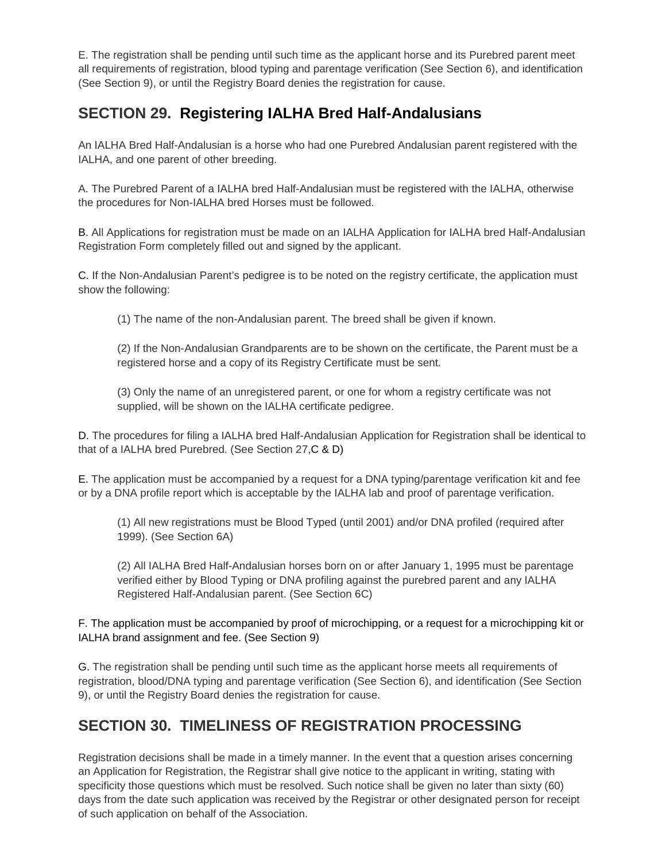E. The registration shall be pending until such time as the applicant horse and its Purebred parent meet all requirements of registration, blood typing and parentage verification (See Section 6), and identification (See Section 9), or until the Registry Board denies the registration for cause.

## **SECTION 29. Registering IALHA Bred Half-Andalusians**

An IALHA Bred Half-Andalusian is a horse who had one Purebred Andalusian parent registered with the IALHA, and one parent of other breeding.

A. The Purebred Parent of a IALHA bred Half-Andalusian must be registered with the IALHA, otherwise the procedures for Non-IALHA bred Horses must be followed.

B. All Applications for registration must be made on an IALHA Application for IALHA bred Half-Andalusian Registration Form completely filled out and signed by the applicant.

C. If the Non-Andalusian Parent's pedigree is to be noted on the registry certificate, the application must show the following:

(1) The name of the non-Andalusian parent. The breed shall be given if known.

(2) If the Non-Andalusian Grandparents are to be shown on the certificate, the Parent must be a registered horse and a copy of its Registry Certificate must be sent.

(3) Only the name of an unregistered parent, or one for whom a registry certificate was not supplied, will be shown on the IALHA certificate pedigree.

D. The procedures for filing a IALHA bred Half-Andalusian Application for Registration shall be identical to that of a IALHA bred Purebred. (See Section 27,C & D)

E. The application must be accompanied by a request for a DNA typing/parentage verification kit and fee or by a DNA profile report which is acceptable by the IALHA lab and proof of parentage verification.

(1) All new registrations must be Blood Typed (until 2001) and/or DNA profiled (required after 1999). (See Section 6A)

(2) All IALHA Bred Half-Andalusian horses born on or after January 1, 1995 must be parentage verified either by Blood Typing or DNA profiling against the purebred parent and any IALHA Registered Half-Andalusian parent. (See Section 6C)

F. The application must be accompanied by proof of microchipping, or a request for a microchipping kit or IALHA brand assignment and fee. (See Section 9)

G. The registration shall be pending until such time as the applicant horse meets all requirements of registration, blood/DNA typing and parentage verification (See Section 6), and identification (See Section 9), or until the Registry Board denies the registration for cause.

## **SECTION 30. TIMELINESS OF REGISTRATION PROCESSING**

Registration decisions shall be made in a timely manner. In the event that a question arises concerning an Application for Registration, the Registrar shall give notice to the applicant in writing, stating with specificity those questions which must be resolved. Such notice shall be given no later than sixty (60) days from the date such application was received by the Registrar or other designated person for receipt of such application on behalf of the Association.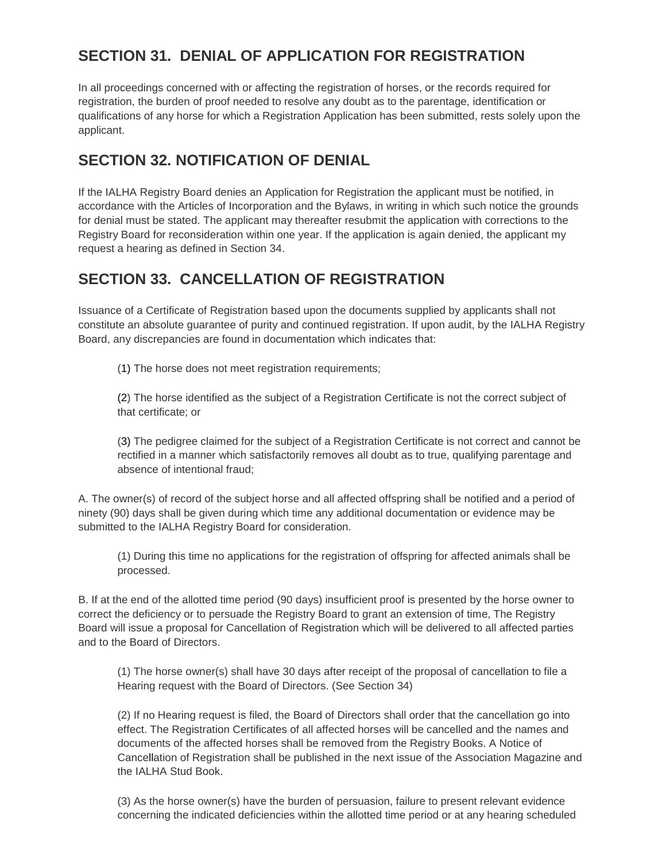## **SECTION 31. DENIAL OF APPLICATION FOR REGISTRATION**

In all proceedings concerned with or affecting the registration of horses, or the records required for registration, the burden of proof needed to resolve any doubt as to the parentage, identification or qualifications of any horse for which a Registration Application has been submitted, rests solely upon the applicant.

## **SECTION 32. NOTIFICATION OF DENIAL**

If the IALHA Registry Board denies an Application for Registration the applicant must be notified, in accordance with the Articles of Incorporation and the Bylaws, in writing in which such notice the grounds for denial must be stated. The applicant may thereafter resubmit the application with corrections to the Registry Board for reconsideration within one year. If the application is again denied, the applicant my request a hearing as defined in Section 34.

## **SECTION 33. CANCELLATION OF REGISTRATION**

Issuance of a Certificate of Registration based upon the documents supplied by applicants shall not constitute an absolute guarantee of purity and continued registration. If upon audit, by the IALHA Registry Board, any discrepancies are found in documentation which indicates that:

(1) The horse does not meet registration requirements;

(2) The horse identified as the subject of a Registration Certificate is not the correct subject of that certificate; or

(3) The pedigree claimed for the subject of a Registration Certificate is not correct and cannot be rectified in a manner which satisfactorily removes all doubt as to true, qualifying parentage and absence of intentional fraud;

A. The owner(s) of record of the subject horse and all affected offspring shall be notified and a period of ninety (90) days shall be given during which time any additional documentation or evidence may be submitted to the IALHA Registry Board for consideration.

(1) During this time no applications for the registration of offspring for affected animals shall be processed.

B. If at the end of the allotted time period (90 days) insufficient proof is presented by the horse owner to correct the deficiency or to persuade the Registry Board to grant an extension of time, The Registry Board will issue a proposal for Cancellation of Registration which will be delivered to all affected parties and to the Board of Directors.

(1) The horse owner(s) shall have 30 days after receipt of the proposal of cancellation to file a Hearing request with the Board of Directors. (See Section 34)

(2) If no Hearing request is filed, the Board of Directors shall order that the cancellation go into effect. The Registration Certificates of all affected horses will be cancelled and the names and documents of the affected horses shall be removed from the Registry Books. A Notice of Cancellation of Registration shall be published in the next issue of the Association Magazine and the IALHA Stud Book.

(3) As the horse owner(s) have the burden of persuasion, failure to present relevant evidence concerning the indicated deficiencies within the allotted time period or at any hearing scheduled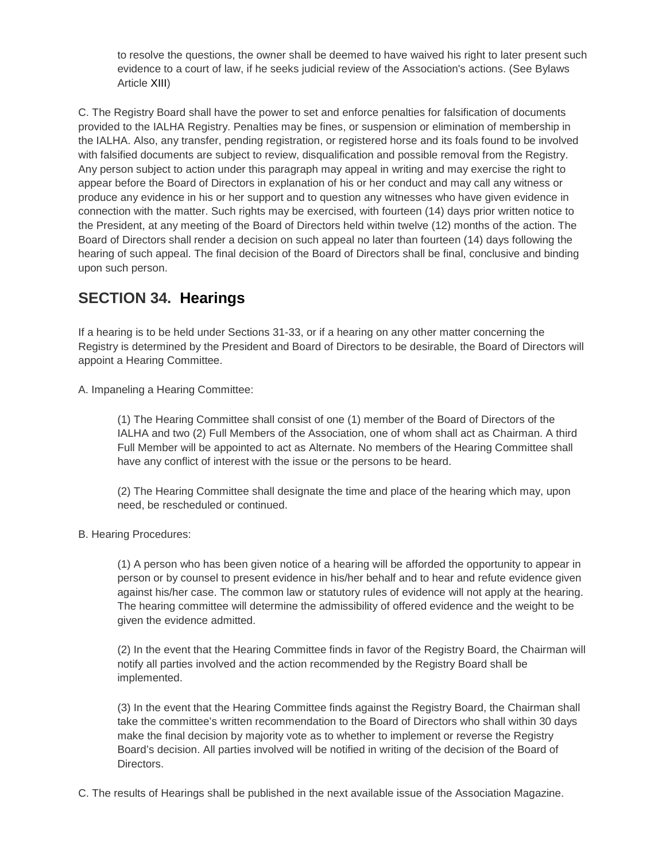to resolve the questions, the owner shall be deemed to have waived his right to later present such evidence to a court of law, if he seeks judicial review of the Association's actions. (See Bylaws Article XIII)

C. The Registry Board shall have the power to set and enforce penalties for falsification of documents provided to the IALHA Registry. Penalties may be fines, or suspension or elimination of membership in the IALHA. Also, any transfer, pending registration, or registered horse and its foals found to be involved with falsified documents are subject to review, disqualification and possible removal from the Registry. Any person subject to action under this paragraph may appeal in writing and may exercise the right to appear before the Board of Directors in explanation of his or her conduct and may call any witness or produce any evidence in his or her support and to question any witnesses who have given evidence in connection with the matter. Such rights may be exercised, with fourteen (14) days prior written notice to the President, at any meeting of the Board of Directors held within twelve (12) months of the action. The Board of Directors shall render a decision on such appeal no later than fourteen (14) days following the hearing of such appeal. The final decision of the Board of Directors shall be final, conclusive and binding upon such person.

## **SECTION 34. Hearings**

If a hearing is to be held under Sections 31-33, or if a hearing on any other matter concerning the Registry is determined by the President and Board of Directors to be desirable, the Board of Directors will appoint a Hearing Committee.

A. Impaneling a Hearing Committee:

(1) The Hearing Committee shall consist of one (1) member of the Board of Directors of the IALHA and two (2) Full Members of the Association, one of whom shall act as Chairman. A third Full Member will be appointed to act as Alternate. No members of the Hearing Committee shall have any conflict of interest with the issue or the persons to be heard.

(2) The Hearing Committee shall designate the time and place of the hearing which may, upon need, be rescheduled or continued.

#### B. Hearing Procedures:

(1) A person who has been given notice of a hearing will be afforded the opportunity to appear in person or by counsel to present evidence in his/her behalf and to hear and refute evidence given against his/her case. The common law or statutory rules of evidence will not apply at the hearing. The hearing committee will determine the admissibility of offered evidence and the weight to be given the evidence admitted.

(2) In the event that the Hearing Committee finds in favor of the Registry Board, the Chairman will notify all parties involved and the action recommended by the Registry Board shall be implemented.

(3) In the event that the Hearing Committee finds against the Registry Board, the Chairman shall take the committee's written recommendation to the Board of Directors who shall within 30 days make the final decision by majority vote as to whether to implement or reverse the Registry Board's decision. All parties involved will be notified in writing of the decision of the Board of Directors.

C. The results of Hearings shall be published in the next available issue of the Association Magazine.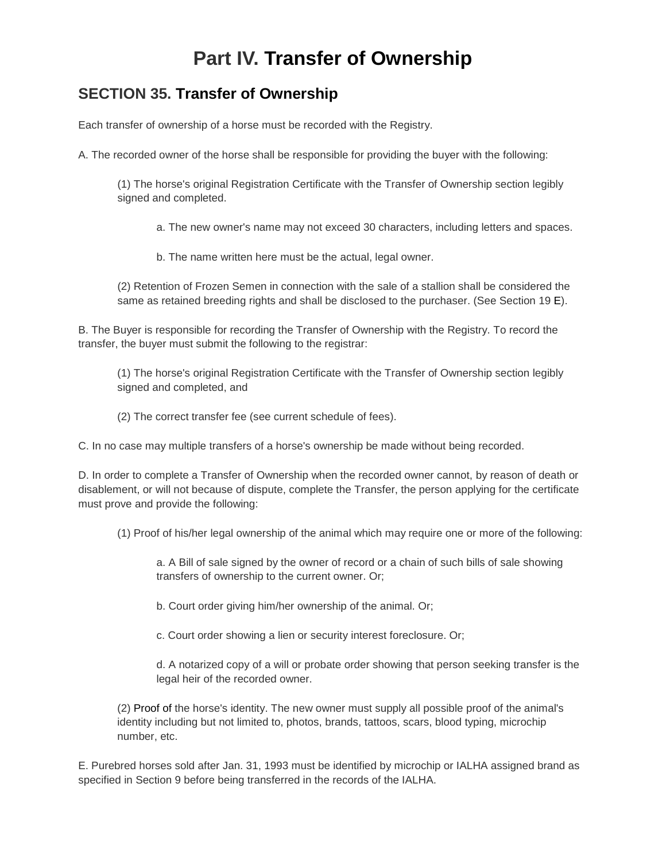## **Part IV. Transfer of Ownership**

### **SECTION 35. Transfer of Ownership**

Each transfer of ownership of a horse must be recorded with the Registry.

A. The recorded owner of the horse shall be responsible for providing the buyer with the following:

(1) The horse's original Registration Certificate with the Transfer of Ownership section legibly signed and completed.

a. The new owner's name may not exceed 30 characters, including letters and spaces.

b. The name written here must be the actual, legal owner.

(2) Retention of Frozen Semen in connection with the sale of a stallion shall be considered the same as retained breeding rights and shall be disclosed to the purchaser. (See Section 19 E).

B. The Buyer is responsible for recording the Transfer of Ownership with the Registry. To record the transfer, the buyer must submit the following to the registrar:

(1) The horse's original Registration Certificate with the Transfer of Ownership section legibly signed and completed, and

(2) The correct transfer fee (see current schedule of fees).

C. In no case may multiple transfers of a horse's ownership be made without being recorded.

D. In order to complete a Transfer of Ownership when the recorded owner cannot, by reason of death or disablement, or will not because of dispute, complete the Transfer, the person applying for the certificate must prove and provide the following:

(1) Proof of his/her legal ownership of the animal which may require one or more of the following:

a. A Bill of sale signed by the owner of record or a chain of such bills of sale showing transfers of ownership to the current owner. Or;

b. Court order giving him/her ownership of the animal. Or;

c. Court order showing a lien or security interest foreclosure. Or;

d. A notarized copy of a will or probate order showing that person seeking transfer is the legal heir of the recorded owner.

(2) Proof of the horse's identity. The new owner must supply all possible proof of the animal's identity including but not limited to, photos, brands, tattoos, scars, blood typing, microchip number, etc.

E. Purebred horses sold after Jan. 31, 1993 must be identified by microchip or IALHA assigned brand as specified in Section 9 before being transferred in the records of the IALHA.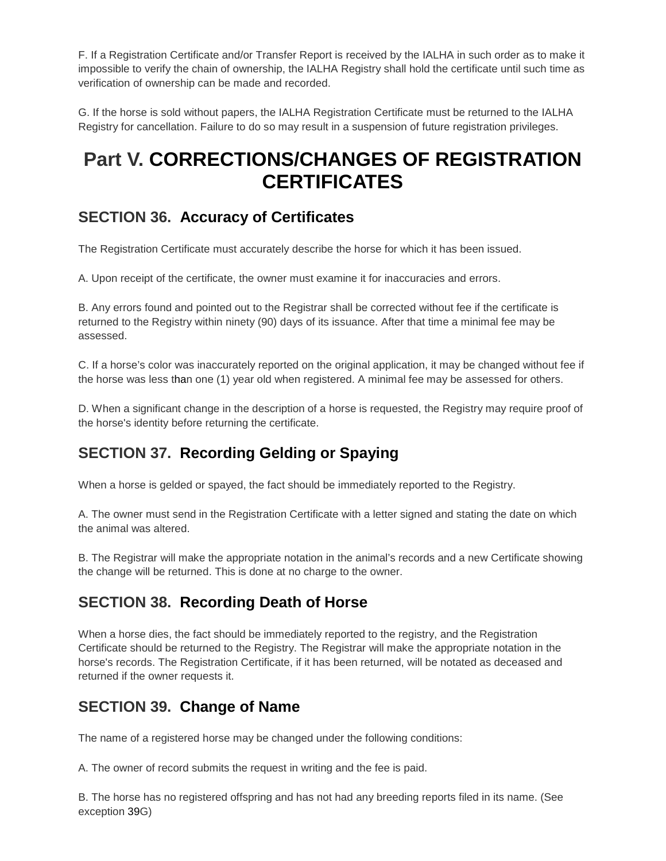F. If a Registration Certificate and/or Transfer Report is received by the IALHA in such order as to make it impossible to verify the chain of ownership, the IALHA Registry shall hold the certificate until such time as verification of ownership can be made and recorded.

G. If the horse is sold without papers, the IALHA Registration Certificate must be returned to the IALHA Registry for cancellation. Failure to do so may result in a suspension of future registration privileges.

## **Part V. CORRECTIONS/CHANGES OF REGISTRATION CERTIFICATES**

### **SECTION 36. Accuracy of Certificates**

The Registration Certificate must accurately describe the horse for which it has been issued.

A. Upon receipt of the certificate, the owner must examine it for inaccuracies and errors.

B. Any errors found and pointed out to the Registrar shall be corrected without fee if the certificate is returned to the Registry within ninety (90) days of its issuance. After that time a minimal fee may be assessed.

C. If a horse's color was inaccurately reported on the original application, it may be changed without fee if the horse was less than one (1) year old when registered. A minimal fee may be assessed for others.

D. When a significant change in the description of a horse is requested, the Registry may require proof of the horse's identity before returning the certificate.

## **SECTION 37. Recording Gelding or Spaying**

When a horse is gelded or spayed, the fact should be immediately reported to the Registry.

A. The owner must send in the Registration Certificate with a letter signed and stating the date on which the animal was altered.

B. The Registrar will make the appropriate notation in the animal's records and a new Certificate showing the change will be returned. This is done at no charge to the owner.

### **SECTION 38. Recording Death of Horse**

When a horse dies, the fact should be immediately reported to the registry, and the Registration Certificate should be returned to the Registry. The Registrar will make the appropriate notation in the horse's records. The Registration Certificate, if it has been returned, will be notated as deceased and returned if the owner requests it.

### **SECTION 39. Change of Name**

The name of a registered horse may be changed under the following conditions:

A. The owner of record submits the request in writing and the fee is paid.

B. The horse has no registered offspring and has not had any breeding reports filed in its name. (See exception 39G)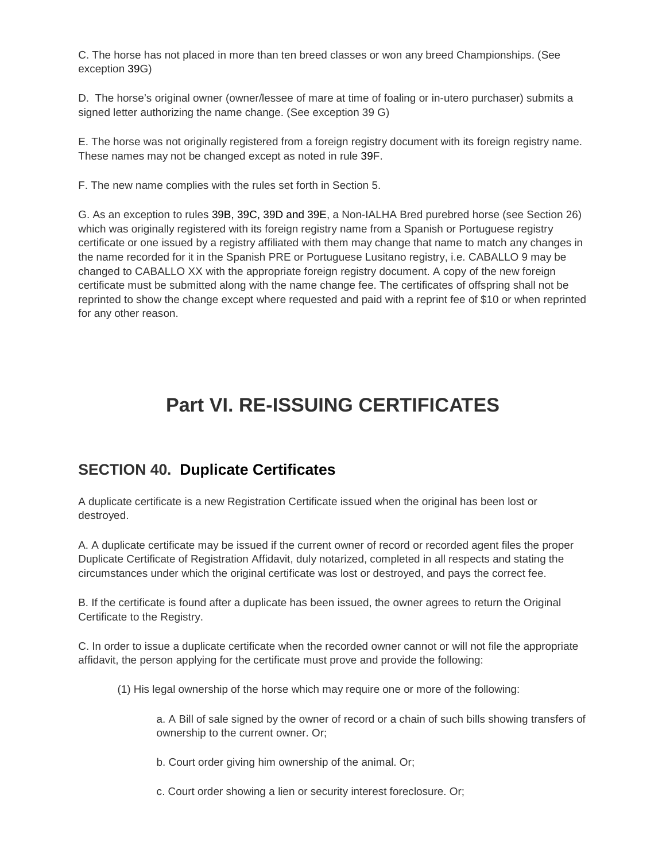C. The horse has not placed in more than ten breed classes or won any breed Championships. (See exception 39G)

D. The horse's original owner (owner/lessee of mare at time of foaling or in-utero purchaser) submits a signed letter authorizing the name change. (See exception 39 G)

E. The horse was not originally registered from a foreign registry document with its foreign registry name. These names may not be changed except as noted in rule 39F.

F. The new name complies with the rules set forth in Section 5.

G. As an exception to rules 39B, 39C, 39D and 39E, a Non-IALHA Bred purebred horse (see Section 26) which was originally registered with its foreign registry name from a Spanish or Portuguese registry certificate or one issued by a registry affiliated with them may change that name to match any changes in the name recorded for it in the Spanish PRE or Portuguese Lusitano registry, i.e. CABALLO 9 may be changed to CABALLO XX with the appropriate foreign registry document. A copy of the new foreign certificate must be submitted along with the name change fee. The certificates of offspring shall not be reprinted to show the change except where requested and paid with a reprint fee of \$10 or when reprinted for any other reason.

## **Part VI. RE-ISSUING CERTIFICATES**

#### **SECTION 40. Duplicate Certificates**

A duplicate certificate is a new Registration Certificate issued when the original has been lost or destroyed.

A. A duplicate certificate may be issued if the current owner of record or recorded agent files the proper Duplicate Certificate of Registration Affidavit, duly notarized, completed in all respects and stating the circumstances under which the original certificate was lost or destroyed, and pays the correct fee.

B. If the certificate is found after a duplicate has been issued, the owner agrees to return the Original Certificate to the Registry.

C. In order to issue a duplicate certificate when the recorded owner cannot or will not file the appropriate affidavit, the person applying for the certificate must prove and provide the following:

(1) His legal ownership of the horse which may require one or more of the following:

a. A Bill of sale signed by the owner of record or a chain of such bills showing transfers of ownership to the current owner. Or;

b. Court order giving him ownership of the animal. Or;

c. Court order showing a lien or security interest foreclosure. Or;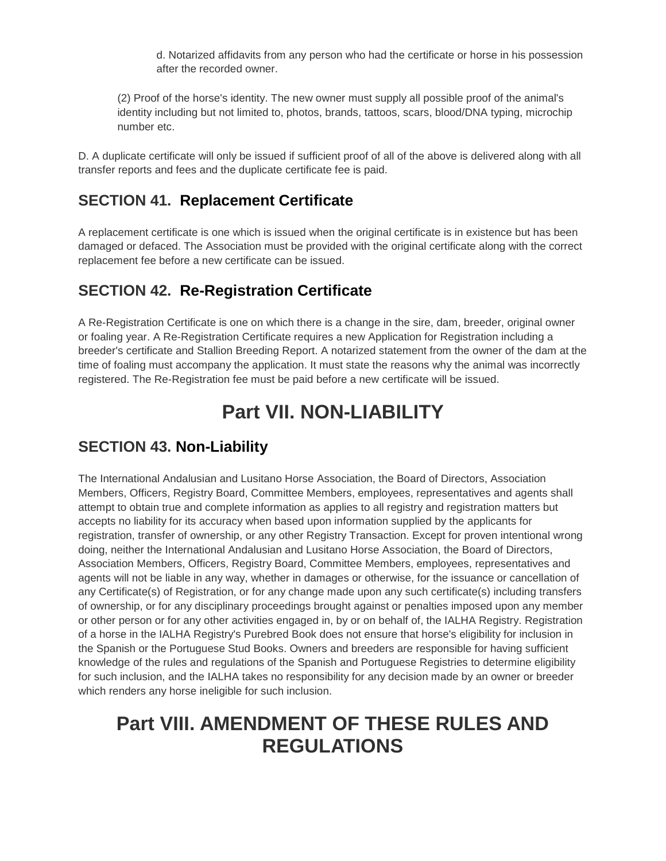d. Notarized affidavits from any person who had the certificate or horse in his possession after the recorded owner.

(2) Proof of the horse's identity. The new owner must supply all possible proof of the animal's identity including but not limited to, photos, brands, tattoos, scars, blood/DNA typing, microchip number etc.

D. A duplicate certificate will only be issued if sufficient proof of all of the above is delivered along with all transfer reports and fees and the duplicate certificate fee is paid.

## **SECTION 41. Replacement Certificate**

A replacement certificate is one which is issued when the original certificate is in existence but has been damaged or defaced. The Association must be provided with the original certificate along with the correct replacement fee before a new certificate can be issued.

## **SECTION 42. Re-Registration Certificate**

A Re-Registration Certificate is one on which there is a change in the sire, dam, breeder, original owner or foaling year. A Re-Registration Certificate requires a new Application for Registration including a breeder's certificate and Stallion Breeding Report. A notarized statement from the owner of the dam at the time of foaling must accompany the application. It must state the reasons why the animal was incorrectly registered. The Re-Registration fee must be paid before a new certificate will be issued.

## **Part VII. NON-LIABILITY**

### **SECTION 43. Non-Liability**

The International Andalusian and Lusitano Horse Association, the Board of Directors, Association Members, Officers, Registry Board, Committee Members, employees, representatives and agents shall attempt to obtain true and complete information as applies to all registry and registration matters but accepts no liability for its accuracy when based upon information supplied by the applicants for registration, transfer of ownership, or any other Registry Transaction. Except for proven intentional wrong doing, neither the International Andalusian and Lusitano Horse Association, the Board of Directors, Association Members, Officers, Registry Board, Committee Members, employees, representatives and agents will not be liable in any way, whether in damages or otherwise, for the issuance or cancellation of any Certificate(s) of Registration, or for any change made upon any such certificate(s) including transfers of ownership, or for any disciplinary proceedings brought against or penalties imposed upon any member or other person or for any other activities engaged in, by or on behalf of, the IALHA Registry. Registration of a horse in the IALHA Registry's Purebred Book does not ensure that horse's eligibility for inclusion in the Spanish or the Portuguese Stud Books. Owners and breeders are responsible for having sufficient knowledge of the rules and regulations of the Spanish and Portuguese Registries to determine eligibility for such inclusion, and the IALHA takes no responsibility for any decision made by an owner or breeder which renders any horse ineligible for such inclusion.

## **Part VIII. AMENDMENT OF THESE RULES AND REGULATIONS**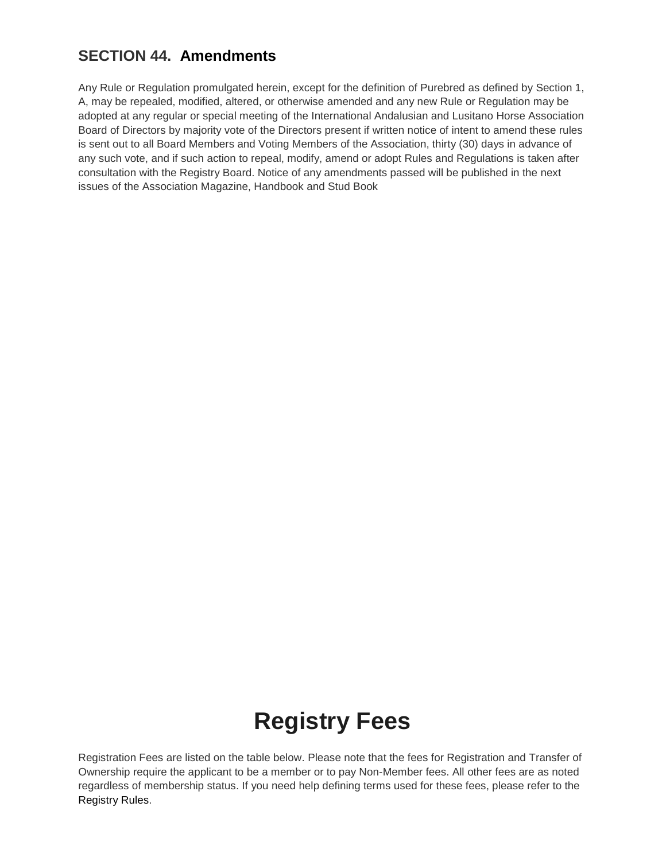## **SECTION 44. Amendments**

Any Rule or Regulation promulgated herein, except for the definition of Purebred as defined by Section 1, A, may be repealed, modified, altered, or otherwise amended and any new Rule or Regulation may be adopted at any regular or special meeting of the International Andalusian and Lusitano Horse Association Board of Directors by majority vote of the Directors present if written notice of intent to amend these rules is sent out to all Board Members and Voting Members of the Association, thirty (30) days in advance of any such vote, and if such action to repeal, modify, amend or adopt Rules and Regulations is taken after consultation with the Registry Board. Notice of any amendments passed will be published in the next issues of the Association Magazine, Handbook and Stud Book

# **Registry Fees**

Registration Fees are listed on the table below. Please note that the fees for Registration and Transfer of Ownership require the applicant to be a member or to pay Non-Member fees. All other fees are as noted regardless of membership status. If you need help defining terms used for these fees, please refer to the [Registry Rules.](http://www.ialha.org/cms/index.php?option=com_content&task=view&id=74&Itemid=165)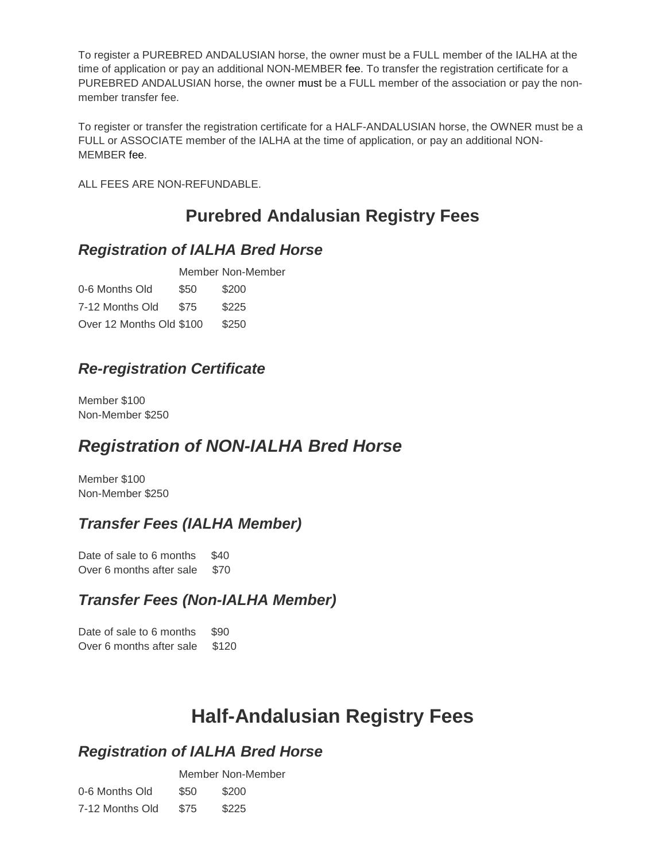To register a PUREBRED ANDALUSIAN horse, the owner must be a FULL member of the IALHA at the time of application or pay an additional NON-MEMBER fee. To transfer the registration certificate for a PUREBRED ANDALUSIAN horse, the owner must be a FULL member of the association or pay the nonmember transfer fee.

To register or transfer the registration certificate for a HALF-ANDALUSIAN horse, the OWNER must be a FULL or ASSOCIATE member of the IALHA at the time of application, or pay an additional NON-MEMBER fee.

ALL FEES ARE NON-REFUNDABLE.

## **Purebred Andalusian Registry Fees**

#### *Registration of IALHA Bred Horse*

Member Non-Member 0-6 Months Old \$50 \$200 7-12 Months Old \$75 \$225 Over 12 Months Old \$100 \$250

### *Re-registration Certificate*

Member \$100 Non-Member \$250

## *Registration of NON-IALHA Bred Horse*

Member \$100 Non-Member \$250

### *Transfer Fees (IALHA Member)*

Date of sale to 6 months \$40 Over 6 months after sale \$70

### *Transfer Fees (Non-IALHA Member)*

Date of sale to 6 months \$90 Over 6 months after sale \$120

## **Half-Andalusian Registry Fees**

#### *Registration of IALHA Bred Horse*

|                 |      | Member Non-Member |
|-----------------|------|-------------------|
| 0-6 Months Old  | \$50 | \$200             |
| 7-12 Months Old | \$75 | \$225             |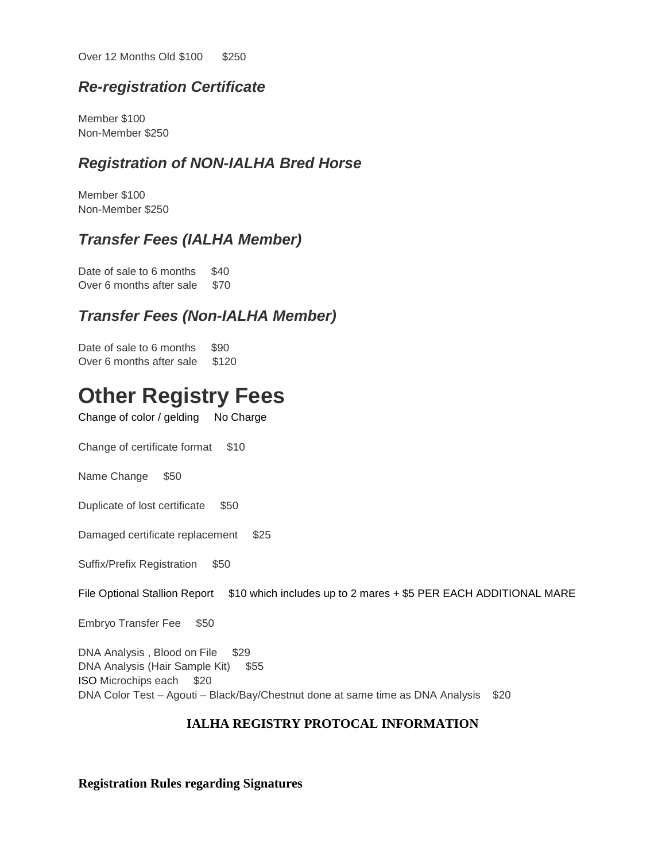Over 12 Months Old \$100 \$250

#### *Re-registration Certificate*

Member \$100 Non-Member \$250

#### *Registration of NON-IALHA Bred Horse*

Member \$100 Non-Member \$250

#### *Transfer Fees (IALHA Member)*

Date of sale to 6 months \$40 Over 6 months after sale \$70

#### *Transfer Fees (Non-IALHA Member)*

Date of sale to 6 months \$90 Over 6 months after sale \$120

# **Other Registry Fees**

Change of color / gelding No Charge

Change of certificate format \$10

Name Change \$50

Duplicate of lost certificate \$50

Damaged certificate replacement \$25

Suffix/Prefix Registration \$50

File Optional Stallion Report  $$10$  which includes up to 2 mares + \$5 PER EACH ADDITIONAL MARE

Embryo Transfer Fee \$50

DNA Analysis, Blood on File \$29 DNA Analysis (Hair Sample Kit) \$55 ISO Microchips each \$20 DNA Color Test – Agouti – Black/Bay/Chestnut done at same time as DNA Analysis \$20

#### **IALHA REGISTRY PROTOCAL INFORMATION**

**Registration Rules regarding Signatures**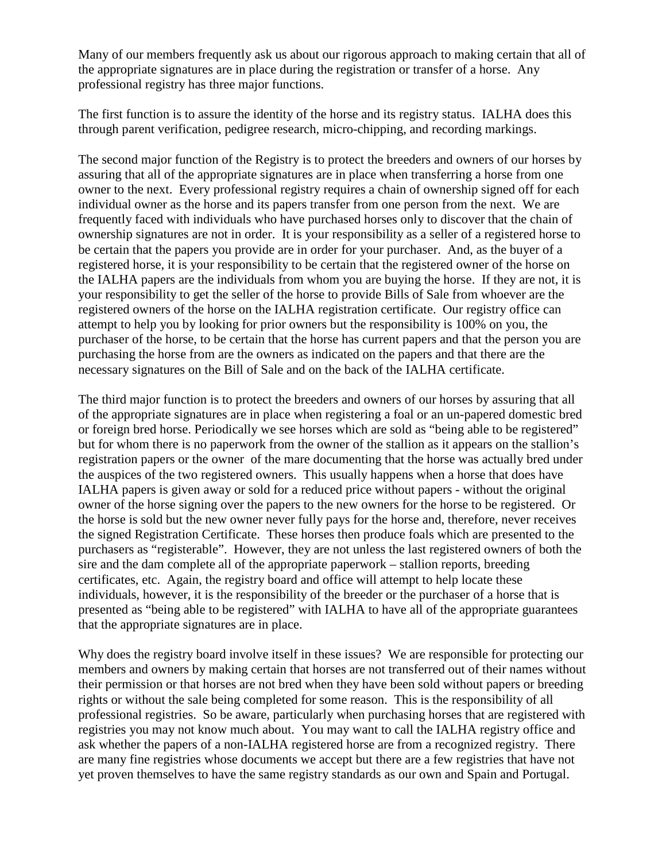Many of our members frequently ask us about our rigorous approach to making certain that all of the appropriate signatures are in place during the registration or transfer of a horse. Any professional registry has three major functions.

The first function is to assure the identity of the horse and its registry status. IALHA does this through parent verification, pedigree research, micro-chipping, and recording markings.

The second major function of the Registry is to protect the breeders and owners of our horses by assuring that all of the appropriate signatures are in place when transferring a horse from one owner to the next. Every professional registry requires a chain of ownership signed off for each individual owner as the horse and its papers transfer from one person from the next. We are frequently faced with individuals who have purchased horses only to discover that the chain of ownership signatures are not in order. It is your responsibility as a seller of a registered horse to be certain that the papers you provide are in order for your purchaser. And, as the buyer of a registered horse, it is your responsibility to be certain that the registered owner of the horse on the IALHA papers are the individuals from whom you are buying the horse. If they are not, it is your responsibility to get the seller of the horse to provide Bills of Sale from whoever are the registered owners of the horse on the IALHA registration certificate. Our registry office can attempt to help you by looking for prior owners but the responsibility is 100% on you, the purchaser of the horse, to be certain that the horse has current papers and that the person you are purchasing the horse from are the owners as indicated on the papers and that there are the necessary signatures on the Bill of Sale and on the back of the IALHA certificate.

The third major function is to protect the breeders and owners of our horses by assuring that all of the appropriate signatures are in place when registering a foal or an un-papered domestic bred or foreign bred horse. Periodically we see horses which are sold as "being able to be registered" but for whom there is no paperwork from the owner of the stallion as it appears on the stallion's registration papers or the owner of the mare documenting that the horse was actually bred under the auspices of the two registered owners. This usually happens when a horse that does have IALHA papers is given away or sold for a reduced price without papers - without the original owner of the horse signing over the papers to the new owners for the horse to be registered. Or the horse is sold but the new owner never fully pays for the horse and, therefore, never receives the signed Registration Certificate. These horses then produce foals which are presented to the purchasers as "registerable". However, they are not unless the last registered owners of both the sire and the dam complete all of the appropriate paperwork – stallion reports, breeding certificates, etc. Again, the registry board and office will attempt to help locate these individuals, however, it is the responsibility of the breeder or the purchaser of a horse that is presented as "being able to be registered" with IALHA to have all of the appropriate guarantees that the appropriate signatures are in place.

Why does the registry board involve itself in these issues? We are responsible for protecting our members and owners by making certain that horses are not transferred out of their names without their permission or that horses are not bred when they have been sold without papers or breeding rights or without the sale being completed for some reason. This is the responsibility of all professional registries. So be aware, particularly when purchasing horses that are registered with registries you may not know much about. You may want to call the IALHA registry office and ask whether the papers of a non-IALHA registered horse are from a recognized registry. There are many fine registries whose documents we accept but there are a few registries that have not yet proven themselves to have the same registry standards as our own and Spain and Portugal.